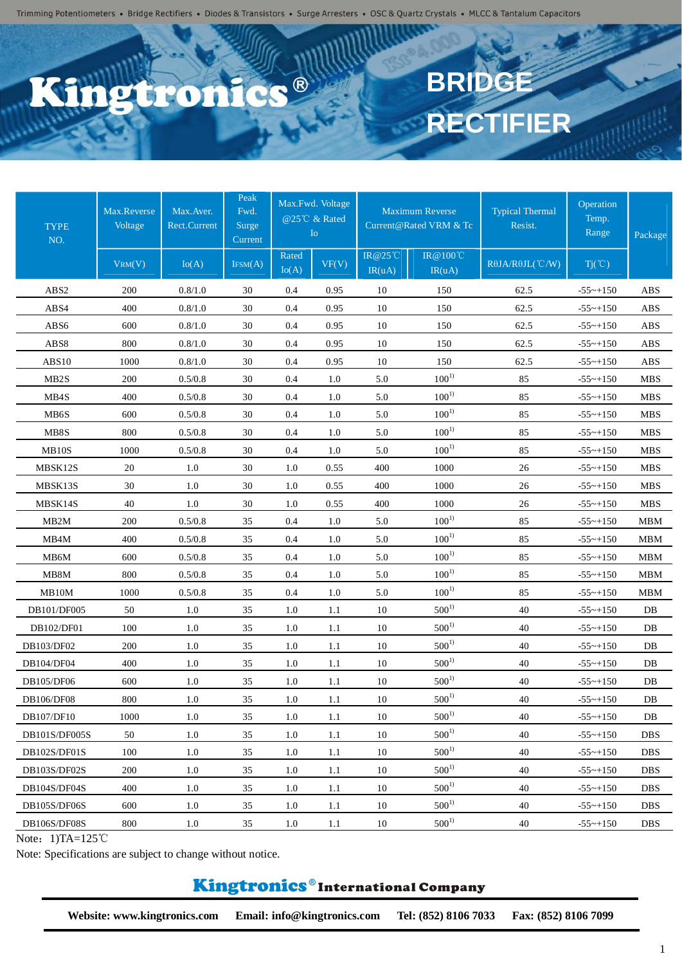### C.C.R 6120

# **BRIDGE RECTIFIER**

| <b>TYPE</b><br>NO. | Max.Reverse<br>Voltage | Max. Aver.<br>Rect.Current | Peak<br>Fwd.<br>Surge<br>Current |                | Max.Fwd. Voltage<br>@25℃ & Rated<br>${\rm Io}$ |                   | Maximum Reverse<br>Current@Rated VRM & Tc | <b>Typical Thermal</b><br>Resist. | Operation<br>Temp.<br>Range | Package    |
|--------------------|------------------------|----------------------------|----------------------------------|----------------|------------------------------------------------|-------------------|-------------------------------------------|-----------------------------------|-----------------------------|------------|
|                    | VRM(V)                 | Io(A)                      | IFSM(A)                          | Rated<br>Io(A) | VF(V)                                          | IR@25°C<br>IR(uA) | <b>IR</b> @100°C<br>IR(uA)                | $R\theta$ JA/ $R\theta$ JL(°C/W)  | $Tj(\degree C)$             |            |
| ABS2               | 200                    | 0.8/1.0                    | 30                               | 0.4            | 0.95                                           | 10                | 150                                       | 62.5                              | $-55$ ~+150                 | ABS        |
| ABS4               | 400                    | 0.8/1.0                    | 30                               | 0.4            | 0.95                                           | 10                | 150                                       | 62.5                              | $-55$ ~+150                 | <b>ABS</b> |
| AB <sub>S6</sub>   | 600                    | 0.8/1.0                    | 30                               | 0.4            | 0.95                                           | 10                | 150                                       | 62.5                              | $-55$ ~+150                 | <b>ABS</b> |
| ABS8               | 800                    | 0.8/1.0                    | 30                               | 0.4            | 0.95                                           | 10                | 150                                       | 62.5                              | $-55$ ~+150                 | <b>ABS</b> |
| ABS10              | 1000                   | 0.8/1.0                    | 30                               | 0.4            | 0.95                                           | 10                | 150                                       | 62.5                              | $-55$ ~+150                 | <b>ABS</b> |
| MB <sub>2</sub> S  | 200                    | 0.5/0.8                    | 30                               | 0.4            | 1.0                                            | 5.0               | $100^{1}$                                 | 85                                | $-55$ ~+150                 | <b>MBS</b> |
| MB4S               | 400                    | 0.5/0.8                    | 30                               | 0.4            | 1.0                                            | 5.0               | $100^{1}$                                 | 85                                | $-55$ ~+150                 | <b>MBS</b> |
| MB6S               | 600                    | 0.5/0.8                    | 30                               | 0.4            | 1.0                                            | 5.0               | $100^{1}$                                 | 85                                | $-55 - +150$                | <b>MBS</b> |
| MB8S               | 800                    | 0.5/0.8                    | 30                               | 0.4            | 1.0                                            | 5.0               | $100^{1}$                                 | 85                                | $-55$ ~+150                 | <b>MBS</b> |
| MB10S              | 1000                   | 0.5/0.8                    | 30                               | 0.4            | 1.0                                            | 5.0               | $100^{1}$                                 | 85                                | $-55 - +150$                | <b>MBS</b> |
| MBSK12S            | 20                     | $1.0\,$                    | 30                               | 1.0            | 0.55                                           | 400               | 1000                                      | 26                                | $-55$ ~+150                 | <b>MBS</b> |
| MBSK13S            | 30                     | 1.0                        | 30                               | 1.0            | 0.55                                           | 400               | 1000                                      | 26                                | $-55$ ~+150                 | <b>MBS</b> |
| MBSK14S            | 40                     | 1.0                        | 30                               | 1.0            | 0.55                                           | 400               | 1000                                      | 26                                | $-55$ ~+150                 | <b>MBS</b> |
| MB <sub>2</sub> M  | 200                    | 0.5/0.8                    | 35                               | 0.4            | $1.0\,$                                        | 5.0               | $100^{1}$                                 | 85                                | $-55$ ~+150                 | <b>MBM</b> |
| MB4M               | 400                    | 0.5/0.8                    | 35                               | 0.4            | 1.0                                            | 5.0               | $100^{1}$                                 | 85                                | $-55$ ~+150                 | <b>MBM</b> |
| MB6M               | 600                    | 0.5/0.8                    | 35                               | 0.4            | 1.0                                            | 5.0               | $100^{1}$                                 | 85                                | $-55$ ~+150                 | <b>MBM</b> |
| MB8M               | 800                    | 0.5/0.8                    | 35                               | 0.4            | 1.0                                            | 5.0               | $100^{1}$                                 | 85                                | $-55$ ~+150                 | <b>MBM</b> |
| MB10M              | 1000                   | 0.5/0.8                    | 35                               | 0.4            | 1.0                                            | 5.0               | $100^{1}$                                 | 85                                | $-55$ ~+150                 | <b>MBM</b> |
| DB101/DF005        | 50                     | 1.0                        | 35                               | 1.0            | 1.1                                            | 10                | $500^{1}$                                 | 40                                | $-55$ ~+150                 | DB         |
| DB102/DF01         | 100                    | 1.0                        | 35                               | 1.0            | 1.1                                            | $10\,$            | $500^{1}$                                 | 40                                | $-55 - +150$                | DB         |
| DB103/DF02         | 200                    | 1.0                        | 35                               | 1.0            | 1.1                                            | 10                | $500^{1}$                                 | 40                                | $-55$ ~+150                 | $DB$       |
| DB104/DF04         | 400                    | 1.0                        | 35                               | 1.0            | 1.1                                            | 10                | $500^{1}$                                 | 40                                | $-55 - +150$                | $DB$       |
| DB105/DF06         | 600                    | 1.0                        | 35                               | 1.0            | 1.1                                            | 10                | $500^{1}$                                 | 40                                | $-55 - +150$                | DB         |
| DB106/DF08         | 800                    | 1.0                        | 35                               | 1.0            | 1.1                                            | 10                | $500^{1}$                                 | 40                                | $-55$ ~+150                 | DB         |
| DB107/DF10         | 1000                   | $1.0\,$                    | 35                               | 1.0            | 1.1                                            | 10                | $500^{1}$                                 | 40                                | $-55 - +150$                | DB         |
| DB101S/DF005S      | 50                     | $1.0\,$                    | 35                               | 1.0            | 1.1                                            | 10                | $500^{1}$                                 | 40                                | $-55$ ~+150                 | <b>DBS</b> |
| DB102S/DF01S       | 100                    | 1.0                        | 35                               | 1.0            | 1.1                                            | 10                | $500^{1}$                                 | 40                                | $-55$ ~+150                 | DBS        |
| DB103S/DF02S       | 200                    | 1.0                        | 35                               | 1.0            | 1.1                                            | 10                | $500^{1}$                                 | 40                                | $-55$ ~+150                 | <b>DBS</b> |
| DB104S/DF04S       | 400                    | 1.0                        | 35                               | 1.0            | 1.1                                            | 10                | $500^{1}$                                 | 40                                | $-55$ ~+150                 | DBS        |
| DB105S/DF06S       | 600                    | 1.0                        | 35                               | 1.0            | 1.1                                            | 10                | $500^{1}$                                 | 40                                | $-55$ ~+150                 | DBS        |
| DB106S/DF08S       | 800                    | 1.0                        | 35                               | 1.0            | 1.1                                            | 10                | $500^{1}$                                 | 40                                | $-55$ ~+150                 | DBS        |

Note: 1)TA=125℃

Note: Specifications are subject to change without notice.

#### Kingtronics®International Company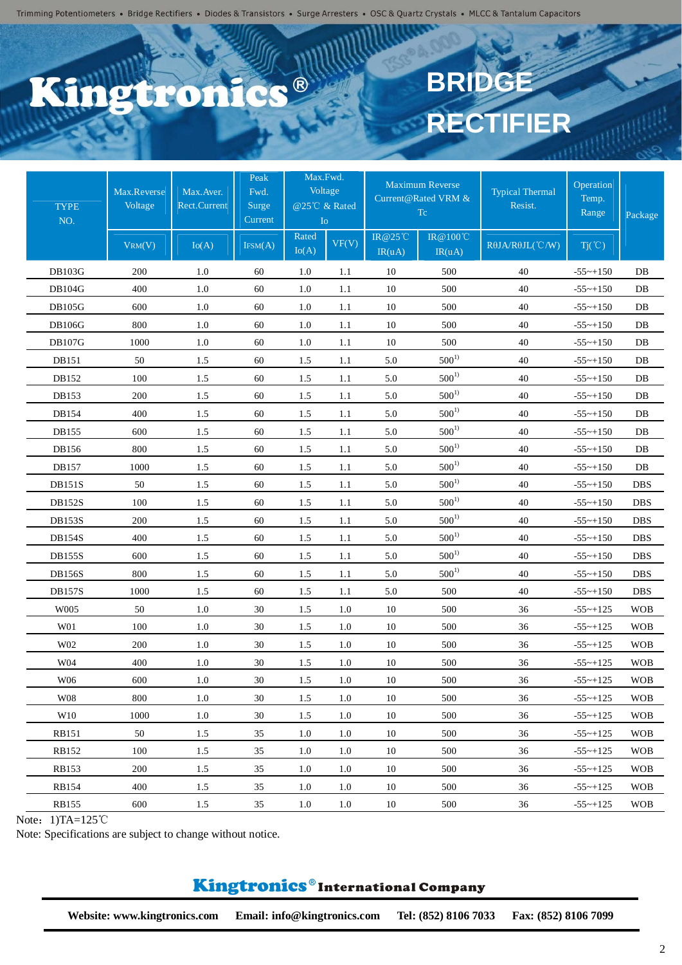## C.S.® 6120

# **BRIDGE RECTIFIER**

| <b>TYPE</b><br>NO. | Max.Reverse<br>Voltage<br>VRM(V) | Max.Aver.<br><b>Rect.Current</b><br>Io(A) | Peak<br>Fwd.<br>Surge<br>Current<br>IFSM(A) | Max.Fwd.<br>Voltage<br>@25°C & Rated<br>I <sub>O</sub><br>Rated | VF(V)   | IR@25°C | <b>Maximum Reverse</b><br>Current@Rated VRM &<br>Tc<br>IR@100°C | <b>Typical Thermal</b><br>Resist.<br>RθJA/RθJL(°C/W) | Operation<br>Temp.<br>Range<br>$Tj(\degree C)$ | Package    |
|--------------------|----------------------------------|-------------------------------------------|---------------------------------------------|-----------------------------------------------------------------|---------|---------|-----------------------------------------------------------------|------------------------------------------------------|------------------------------------------------|------------|
|                    |                                  |                                           |                                             | Io(A)                                                           |         | IR(uA)  | IR(uA)                                                          |                                                      |                                                |            |
| <b>DB103G</b>      | 200                              | 1.0                                       | 60                                          | 1.0                                                             | 1.1     | 10      | 500                                                             | 40                                                   | $-55 - +150$                                   | DB         |
| <b>DB104G</b>      | 400                              | 1.0                                       | 60                                          | 1.0                                                             | 1.1     | 10      | 500                                                             | 40                                                   | $-55 - +150$                                   | DB         |
| <b>DB105G</b>      | 600                              | 1.0                                       | 60                                          | 1.0                                                             | 1.1     | 10      | 500                                                             | 40                                                   | $-55$ ~+150                                    | $DB$       |
| <b>DB106G</b>      | 800                              | 1.0                                       | 60                                          | 1.0                                                             | 1.1     | 10      | 500                                                             | 40                                                   | $-55$ ~+150                                    | DB         |
| <b>DB107G</b>      | 1000                             | 1.0                                       | 60                                          | 1.0                                                             | 1.1     | 10      | 500                                                             | 40                                                   | $-55$ ~+150                                    | DB         |
| DB151              | 50                               | 1.5                                       | 60                                          | 1.5                                                             | 1.1     | 5.0     | $500^{1}$                                                       | 40                                                   | $-55$ ~+150                                    | $DB$       |
| DB152              | 100                              | 1.5                                       | 60                                          | 1.5                                                             | 1.1     | 5.0     | $500^{1}$                                                       | 40                                                   | $-55$ ~+150                                    | DB         |
| DB153              | 200                              | 1.5                                       | 60                                          | 1.5                                                             | 1.1     | 5.0     | $500^{1}$                                                       | 40                                                   | $-55 - +150$                                   | $DB$       |
| DB154              | 400                              | 1.5                                       | 60                                          | 1.5                                                             | 1.1     | 5.0     | $500^{1}$                                                       | 40                                                   | $-55$ ~+150                                    | $DB$       |
| DB155              | 600                              | 1.5                                       | 60                                          | 1.5                                                             | 1.1     | 5.0     | $500^{1}$                                                       | 40                                                   | $-55 - +150$                                   | $DB$       |
| DB156              | 800                              | 1.5                                       | 60                                          | 1.5                                                             | 1.1     | 5.0     | $500^{1}$                                                       | 40                                                   | $-55$ ~+150                                    | $DB$       |
| DB157              | 1000                             | 1.5                                       | 60                                          | 1.5                                                             | 1.1     | 5.0     | $500^{1}$                                                       | 40                                                   | $-55$ ~+150                                    | DB         |
| <b>DB151S</b>      | 50                               | 1.5                                       | 60                                          | 1.5                                                             | 1.1     | 5.0     | $500^{1}$                                                       | 40                                                   | $-55 - +150$                                   | <b>DBS</b> |
| <b>DB152S</b>      | 100                              | 1.5                                       | 60                                          | 1.5                                                             | 1.1     | 5.0     | $500^{1}$                                                       | 40                                                   | $-55 - +150$                                   | <b>DBS</b> |
| <b>DB153S</b>      | 200                              | 1.5                                       | 60                                          | 1.5                                                             | 1.1     | 5.0     | $500^{1}$                                                       | 40                                                   | $-55$ ~+150                                    | <b>DBS</b> |
| <b>DB154S</b>      | 400                              | 1.5                                       | 60                                          | 1.5                                                             | 1.1     | 5.0     | $500^{1}$                                                       | 40                                                   | $-55$ ~+150                                    | <b>DBS</b> |
| <b>DB155S</b>      | 600                              | 1.5                                       | 60                                          | 1.5                                                             | 1.1     | 5.0     | $500^{1}$                                                       | 40                                                   | $-55$ ~+150                                    | <b>DBS</b> |
| <b>DB156S</b>      | 800                              | 1.5                                       | 60                                          | 1.5                                                             | 1.1     | 5.0     | $500^{1}$                                                       | 40                                                   | $-55$ ~+150                                    | <b>DBS</b> |
| <b>DB157S</b>      | 1000                             | 1.5                                       | 60                                          | 1.5                                                             | 1.1     | 5.0     | 500                                                             | 40                                                   | $-55$ ~+150                                    | <b>DBS</b> |
| W005               | 50                               | 1.0                                       | 30                                          | 1.5                                                             | 1.0     | 10      | 500                                                             | 36                                                   | $-55 - +125$                                   | <b>WOB</b> |
| W01                | 100                              | 1.0                                       | 30                                          | 1.5                                                             | 1.0     | 10      | 500                                                             | 36                                                   | $-55$ ~+125                                    | <b>WOB</b> |
| W02                | 200                              | 1.0                                       | 30                                          | 1.5                                                             | 1.0     | 10      | 500                                                             | 36                                                   | $-55 - +125$                                   | <b>WOB</b> |
| W04                | 400                              | 1.0                                       | 30                                          | 1.5                                                             | 1.0     | 10      | 500                                                             | 36                                                   | $-55$ ~ $+125$                                 | <b>WOB</b> |
| W06                | 600                              | 1.0                                       | 30                                          | 1.5                                                             | 1.0     | 10      | 500                                                             | 36                                                   | $-55$ ~+125                                    | <b>WOB</b> |
| W08                | 800                              | 1.0                                       | 30                                          | 1.5                                                             | 1.0     | 10      | 500                                                             | 36                                                   | $-55$ ~ $+125$                                 | <b>WOB</b> |
| W10                | 1000                             | 1.0                                       | 30                                          | 1.5                                                             | $1.0\,$ | 10      | 500                                                             | 36                                                   | $-55$ ~ $+125$                                 | <b>WOB</b> |
| RB151              | 50                               | 1.5                                       | 35                                          | 1.0                                                             | 1.0     | 10      | 500                                                             | 36                                                   | $-55$ ~ $+125$                                 | <b>WOB</b> |
| <b>RB152</b>       | 100                              | 1.5                                       | 35                                          | 1.0                                                             | 1.0     | 10      | 500                                                             | 36                                                   | $-55 - +125$                                   | <b>WOB</b> |
| <b>RB153</b>       | 200                              | 1.5                                       | 35                                          | 1.0                                                             | 1.0     | 10      | 500                                                             | 36                                                   | $-55$ ~ $+125$                                 | <b>WOB</b> |
| RB154              | 400                              | 1.5                                       | 35                                          | 1.0                                                             | 1.0     | 10      | 500                                                             | 36                                                   | $-55$ ~+125                                    | <b>WOB</b> |
| <b>RB155</b>       | 600                              | 1.5                                       | 35                                          | 1.0                                                             | 1.0     | 10      | 500                                                             | 36                                                   | $-55$ ~ $+125$                                 | <b>WOB</b> |

Note:  $1)TA=125°C$ 

Note: Specifications are subject to change without notice.

## Kingtronics®International Company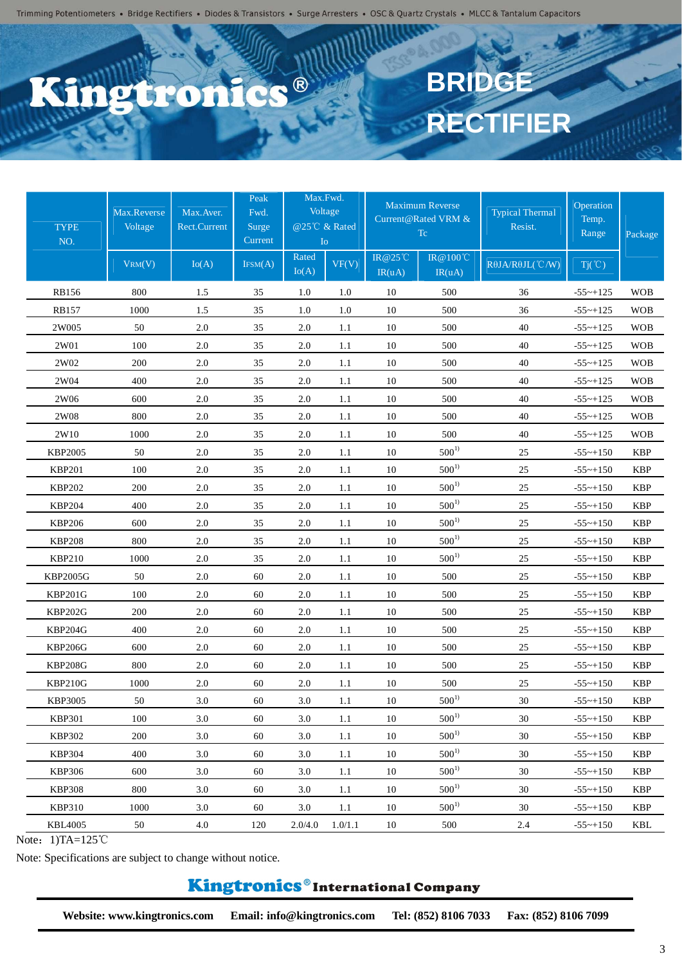### CS<sup>®</sup> 6120

# **BRIDGE RECTIFIER**

| <b>TYPE</b><br>NO. | Max.Reverse<br>Voltage<br>VRM(V) | Max. Aver.<br><b>Rect.Current</b><br>Io(A) | Peak<br>Fwd.<br>Surge<br>Current<br>IFSM(A) | Max.Fwd.<br>Voltage<br>@25℃ & Rated<br>Io<br>Rated<br>Io(A) | VF(V)   | <b>IR@25°C</b><br>IR(uA) | <b>Maximum Reverse</b><br>Current@Rated VRM &<br>Tc<br><b>IR@100°C</b><br>IR(uA) | <b>Typical Thermal</b><br>Resist.<br>RθJA/RθJL(°C/W) | Operation<br>Temp.<br>Range<br>$Tj(\degree C)$ | Package    |
|--------------------|----------------------------------|--------------------------------------------|---------------------------------------------|-------------------------------------------------------------|---------|--------------------------|----------------------------------------------------------------------------------|------------------------------------------------------|------------------------------------------------|------------|
| <b>RB156</b>       | 800                              | 1.5                                        | 35                                          | 1.0                                                         | 1.0     | 10                       | 500                                                                              | 36                                                   | $-55$ ~+125                                    | <b>WOB</b> |
| <b>RB157</b>       | 1000                             | 1.5                                        | 35                                          | 1.0                                                         | $1.0\,$ | 10                       | 500                                                                              | 36                                                   | $-55$ ~+125                                    | <b>WOB</b> |
| 2W005              | 50                               | 2.0                                        | 35                                          | 2.0                                                         | 1.1     | 10                       | 500                                                                              | 40                                                   | $-55$ ~+125                                    | <b>WOB</b> |
| 2W01               | 100                              | $2.0\,$                                    | 35                                          | 2.0                                                         | 1.1     | 10                       | 500                                                                              | 40                                                   | $-55$ ~+125                                    | <b>WOB</b> |
| 2W02               | 200                              | 2.0                                        | 35                                          | 2.0                                                         | 1.1     | 10                       | 500                                                                              | 40                                                   | $-55$ ~+125                                    | <b>WOB</b> |
| 2W04               | 400                              | $2.0\,$                                    | 35                                          | 2.0                                                         | 1.1     | 10                       | 500                                                                              | 40                                                   | $-55$ ~+125                                    | <b>WOB</b> |
| 2W06               | 600                              | $2.0\,$                                    | 35                                          | 2.0                                                         | 1.1     | 10                       | 500                                                                              | 40                                                   | $-55$ ~+125                                    | <b>WOB</b> |
| 2W08               | 800                              | $2.0\,$                                    | 35                                          | 2.0                                                         | 1.1     | 10                       | 500                                                                              | 40                                                   | $-55$ ~+125                                    | <b>WOB</b> |
| 2W10               | 1000                             | $2.0\,$                                    | 35                                          | 2.0                                                         | 1.1     | 10                       | 500                                                                              | 40                                                   | $-55$ ~+125                                    | <b>WOB</b> |
| <b>KBP2005</b>     | 50                               | 2.0                                        | 35                                          | 2.0                                                         | 1.1     | 10                       | $500^{1}$                                                                        | 25                                                   | $-55$ ~+150                                    | <b>KBP</b> |
| <b>KBP201</b>      | 100                              | $2.0\,$                                    | 35                                          | 2.0                                                         | 1.1     | 10                       | $500^{1}$                                                                        | $25\,$                                               | $-55$ ~+150                                    | <b>KBP</b> |
| <b>KBP202</b>      | 200                              | $2.0\,$                                    | 35                                          | 2.0                                                         | 1.1     | 10                       | $500^{1}$                                                                        | 25                                                   | $-55 - +150$                                   | <b>KBP</b> |
| <b>KBP204</b>      | 400                              | $2.0\,$                                    | 35                                          | 2.0                                                         | 1.1     | 10                       | $500^{1}$                                                                        | 25                                                   | $-55$ ~+150                                    | <b>KBP</b> |
| <b>KBP206</b>      | 600                              | $2.0\,$                                    | 35                                          | 2.0                                                         | 1.1     | 10                       | $500^{1}$                                                                        | 25                                                   | $-55$ ~+150                                    | <b>KBP</b> |
| <b>KBP208</b>      | 800                              | 2.0                                        | 35                                          | 2.0                                                         | 1.1     | 10                       | $500^{1}$                                                                        | 25                                                   | $-55$ ~+150                                    | <b>KBP</b> |
| <b>KBP210</b>      | 1000                             | $2.0\,$                                    | 35                                          | 2.0                                                         | 1.1     | 10                       | $500^{1}$                                                                        | 25                                                   | $-55$ ~+150                                    | <b>KBP</b> |
| KBP2005G           | 50                               | $2.0\,$                                    | 60                                          | 2.0                                                         | 1.1     | 10                       | 500                                                                              | $25\,$                                               | $-55$ ~+150                                    | <b>KBP</b> |
| KBP201G            | 100                              | $2.0\,$                                    | 60                                          | 2.0                                                         | 1.1     | 10                       | 500                                                                              | 25                                                   | $-55$ ~+150                                    | <b>KBP</b> |
| <b>KBP202G</b>     | 200                              | $2.0\,$                                    | 60                                          | 2.0                                                         | 1.1     | 10                       | 500                                                                              | 25                                                   | $-55 \sim +150$                                | <b>KBP</b> |
| KBP204G            | 400                              | $2.0\,$                                    | 60                                          | 2.0                                                         | 1.1     | 10                       | 500                                                                              | 25                                                   | $-55$ ~+150                                    | <b>KBP</b> |
| <b>KBP206G</b>     | 600                              | $2.0\,$                                    | 60                                          | 2.0                                                         | 1.1     | 10                       | 500                                                                              | 25                                                   | $-55$ ~+150                                    | <b>KBP</b> |
| <b>KBP208G</b>     | 800                              | 2.0                                        | 60                                          | 2.0                                                         | 1.1     | 10                       | 500                                                                              | 25                                                   | $-55$ ~+150                                    | <b>KBP</b> |
| KBP210G            | 1000                             | $2.0\,$                                    | 60                                          | $2.0\,$                                                     | 1.1     | 10                       | 500                                                                              | $25\,$                                               | $-55$ ~+150                                    | <b>KBP</b> |
| <b>KBP3005</b>     | 50                               | $3.0\,$                                    | 60                                          | 3.0                                                         | 1.1     | 10                       | $500^{1}$                                                                        | 30                                                   | $-55$ ~+150                                    | <b>KBP</b> |
| <b>KBP301</b>      | 100                              | 3.0                                        | 60                                          | 3.0                                                         | 1.1     | 10                       | $500^{1}$                                                                        | 30                                                   | $-55 \sim +150$                                | <b>KBP</b> |
| <b>KBP302</b>      | 200                              | 3.0                                        | 60                                          | 3.0                                                         | 1.1     | 10                       | $500^{1}$                                                                        | 30                                                   | $-55$ ~+150                                    | <b>KBP</b> |
| <b>KBP304</b>      | 400                              | 3.0                                        | 60                                          | 3.0                                                         | 1.1     | 10                       | $500^{1}$                                                                        | 30                                                   | $-55$ ~+150                                    | <b>KBP</b> |
| <b>KBP306</b>      | 600                              | 3.0                                        | 60                                          | 3.0                                                         | 1.1     | 10                       | $500^{1}$                                                                        | 30                                                   | $-55$ ~+150                                    | <b>KBP</b> |
| <b>KBP308</b>      | 800                              | 3.0                                        | 60                                          | 3.0                                                         | 1.1     | 10                       | $500^{1}$                                                                        | 30                                                   | $-55$ ~+150                                    | <b>KBP</b> |
| <b>KBP310</b>      | 1000                             | 3.0                                        | 60                                          | 3.0                                                         | 1.1     | 10                       | $500^{1}$                                                                        | 30                                                   | $-55$ ~+150                                    | KBP        |
| <b>KBL4005</b>     | 50                               | 4.0                                        | 120                                         | 2.0/4.0                                                     | 1.0/1.1 | 10                       | 500                                                                              | 2.4                                                  | $-55$ ~+150                                    | KBL        |

Note: 1)TA=125℃

Note: Specifications are subject to change without notice.

## Kingtronics®International Company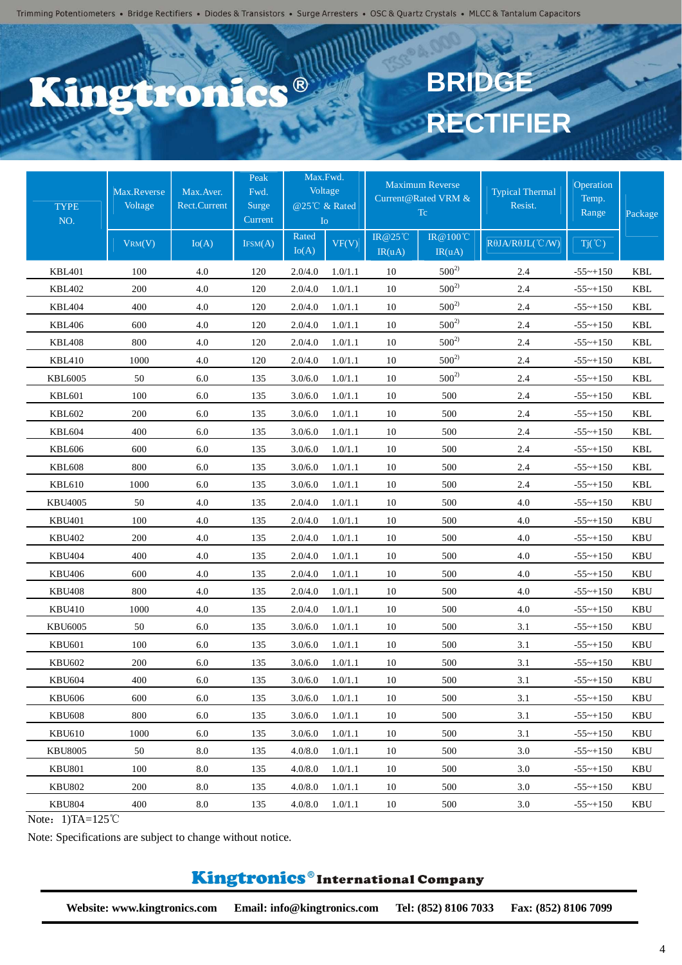## C.C. ® 6120

# **BRIDGE RECTIFIER**

| <b>TYPE</b><br>NO. | Max.Reverse<br>Voltage<br>VRM(V) | Max.Aver.<br><b>Rect.Current</b><br>Io(A) | Peak<br>Fwd.<br>Surge<br>Current<br>IFSM(A) | Max.Fwd.<br>@25℃ & Rated<br>$I_{\rm O}$<br>Rated<br>Io(A) | Voltage<br>VF(V) | <b>IR@25°C</b><br>IR(uA) | <b>Maximum Reverse</b><br>Current@Rated VRM &<br><b>Tc</b><br><b>IR@100°C</b><br>IR(uA) | <b>Typical Thermal</b><br>Resist.<br>$R\theta$ JA/R $\theta$ JL(°C/W) | Operation<br>Temp.<br>Range<br>$Tj(\degree C)$ | Package    |
|--------------------|----------------------------------|-------------------------------------------|---------------------------------------------|-----------------------------------------------------------|------------------|--------------------------|-----------------------------------------------------------------------------------------|-----------------------------------------------------------------------|------------------------------------------------|------------|
| <b>KBL401</b>      | 100                              | 4.0                                       | 120                                         | 2.0/4.0                                                   | 1.0/1.1          | 10                       | $500^{2}$                                                                               | 2.4                                                                   | $-55$ ~+150                                    | <b>KBL</b> |
| <b>KBL402</b>      | 200                              | 4.0                                       | 120                                         | 2.0/4.0                                                   | 1.0/1.1          | 10                       | $500^{2}$                                                                               | 2.4                                                                   | $-55 - +150$                                   | <b>KBL</b> |
| <b>KBL404</b>      | 400                              | 4.0                                       | 120                                         | 2.0/4.0                                                   | 1.0/1.1          | 10                       | $500^{2}$                                                                               | 2.4                                                                   | $-55$ ~+150                                    | <b>KBL</b> |
| <b>KBL406</b>      | 600                              | 4.0                                       | 120                                         | 2.0/4.0                                                   | 1.0/1.1          | 10                       | $500^{2}$                                                                               | 2.4                                                                   | $-55$ ~+150                                    | <b>KBL</b> |
| <b>KBL408</b>      | 800                              | 4.0                                       | 120                                         | 2.0/4.0                                                   | 1.0/1.1          | 10                       | $500^{2}$                                                                               | 2.4                                                                   | $-55$ ~+150                                    | <b>KBL</b> |
| <b>KBL410</b>      | 1000                             | 4.0                                       | 120                                         | 2.0/4.0                                                   | 1.0/1.1          | 10                       | $500^{2}$                                                                               | 2.4                                                                   | $-55$ ~+150                                    | <b>KBL</b> |
| <b>KBL6005</b>     | 50                               | 6.0                                       | 135                                         | 3.0/6.0                                                   | 1.0/1.1          | 10                       | $500^{2}$                                                                               | 2.4                                                                   | $-55$ ~+150                                    | <b>KBL</b> |
| <b>KBL601</b>      | 100                              | 6.0                                       | 135                                         | 3.0/6.0                                                   | 1.0/1.1          | 10                       | 500                                                                                     | 2.4                                                                   | $-55$ ~+150                                    | <b>KBL</b> |
| <b>KBL602</b>      | 200                              | 6.0                                       | 135                                         | 3.0/6.0                                                   | 1.0/1.1          | 10                       | 500                                                                                     | 2.4                                                                   | $-55$ ~+150                                    | <b>KBL</b> |
| <b>KBL604</b>      | 400                              | 6.0                                       | 135                                         | 3.0/6.0                                                   | 1.0/1.1          | 10                       | 500                                                                                     | 2.4                                                                   | $-55$ ~+150                                    | <b>KBL</b> |
| <b>KBL606</b>      | 600                              | 6.0                                       | 135                                         | 3.0/6.0                                                   | 1.0/1.1          | 10                       | 500                                                                                     | 2.4                                                                   | $-55 - +150$                                   | <b>KBL</b> |
| <b>KBL608</b>      | 800                              | 6.0                                       | 135                                         | 3.0/6.0                                                   | 1.0/1.1          | 10                       | 500                                                                                     | 2.4                                                                   | $-55$ ~+150                                    | <b>KBL</b> |
| <b>KBL610</b>      | 1000                             | 6.0                                       | 135                                         | 3.0/6.0                                                   | 1.0/1.1          | 10                       | 500                                                                                     | 2.4                                                                   | $-55$ ~+150                                    | KBL        |
| KBU4005            | 50                               | 4.0                                       | 135                                         | 2.0/4.0                                                   | 1.0/1.1          | 10                       | 500                                                                                     | 4.0                                                                   | $-55$ ~+150                                    | <b>KBU</b> |
| <b>KBU401</b>      | 100                              | 4.0                                       | 135                                         | 2.0/4.0                                                   | 1.0/1.1          | 10                       | 500                                                                                     | 4.0                                                                   | $-55$ ~+150                                    | <b>KBU</b> |
| <b>KBU402</b>      | 200                              | 4.0                                       | 135                                         | 2.0/4.0                                                   | 1.0/1.1          | 10                       | 500                                                                                     | 4.0                                                                   | $-55 - +150$                                   | <b>KBU</b> |
| <b>KBU404</b>      | 400                              | 4.0                                       | 135                                         | 2.0/4.0                                                   | 1.0/1.1          | 10                       | 500                                                                                     | 4.0                                                                   | $-55$ ~+150                                    | <b>KBU</b> |
| <b>KBU406</b>      | 600                              | 4.0                                       | 135                                         | 2.0/4.0                                                   | 1.0/1.1          | 10                       | 500                                                                                     | 4.0                                                                   | $-55$ ~+150                                    | <b>KBU</b> |
| <b>KBU408</b>      | 800                              | 4.0                                       | 135                                         | 2.0/4.0                                                   | 1.0/1.1          | 10                       | 500                                                                                     | 4.0                                                                   | $-55$ ~+150                                    | <b>KBU</b> |
| <b>KBU410</b>      | 1000                             | 4.0                                       | 135                                         | 2.0/4.0                                                   | 1.0/1.1          | 10                       | 500                                                                                     | 4.0                                                                   | $-55$ ~+150                                    | <b>KBU</b> |
| <b>KBU6005</b>     | 50                               | 6.0                                       | 135                                         | 3.0/6.0                                                   | 1.0/1.1          | 10                       | 500                                                                                     | 3.1                                                                   | $-55$ ~+150                                    | <b>KBU</b> |
| <b>KBU601</b>      | 100                              | 6.0                                       | 135                                         | 3.0/6.0                                                   | 1.0/1.1          | 10                       | 500                                                                                     | 3.1                                                                   | $-55$ ~+150                                    | <b>KBU</b> |
| <b>KBU602</b>      | 200                              | 6.0                                       | 135                                         | 3.0/6.0                                                   | 1.0/1.1          | 10                       | 500                                                                                     | 3.1                                                                   | $-55$ ~+150                                    | <b>KBU</b> |
| <b>KBU604</b>      | 400                              | 6.0                                       | 135                                         | 3.0/6.0                                                   | 1.0/1.1          | 10                       | 500                                                                                     | 3.1                                                                   | $-55$ ~+150                                    | <b>KBU</b> |
| <b>KBU606</b>      | 600                              | 6.0                                       | 135                                         | 3.0/6.0                                                   | 1.0/1.1          | 10                       | 500                                                                                     | 3.1                                                                   | $-55$ ~+150                                    | <b>KBU</b> |
| <b>KBU608</b>      | 800                              | 6.0                                       | 135                                         | 3.0/6.0                                                   | 1.0/1.1          | 10                       | 500                                                                                     | 3.1                                                                   | $-55$ ~+150                                    | <b>KBU</b> |
| <b>KBU610</b>      | 1000                             | 6.0                                       | 135                                         | 3.0/6.0                                                   | 1.0/1.1          | 10                       | 500                                                                                     | 3.1                                                                   | $-55$ ~+150                                    | <b>KBU</b> |
| <b>KBU8005</b>     | 50                               | 8.0                                       | 135                                         | 4.0/8.0                                                   | 1.0/1.1          | 10                       | 500                                                                                     | 3.0                                                                   | $-55$ ~+150                                    | KBU        |
| <b>KBU801</b>      | 100                              | 8.0                                       | 135                                         | 4.0/8.0                                                   | 1.0/1.1          | 10                       | 500                                                                                     | 3.0                                                                   | $-55$ ~+150                                    | KBU        |
| <b>KBU802</b>      | 200                              | 8.0                                       | 135                                         | 4.0/8.0                                                   | 1.0/1.1          | 10                       | 500                                                                                     | 3.0                                                                   | $-55$ ~+150                                    | KBU        |
| <b>KBU804</b>      | 400                              | 8.0                                       | 135                                         | 4.0/8.0                                                   | 1.0/1.1          | 10                       | 500                                                                                     | 3.0                                                                   | $-55$ ~+150                                    | <b>KBU</b> |

Note: 1)TA=125℃

Note: Specifications are subject to change without notice.

## Kingtronics®International Company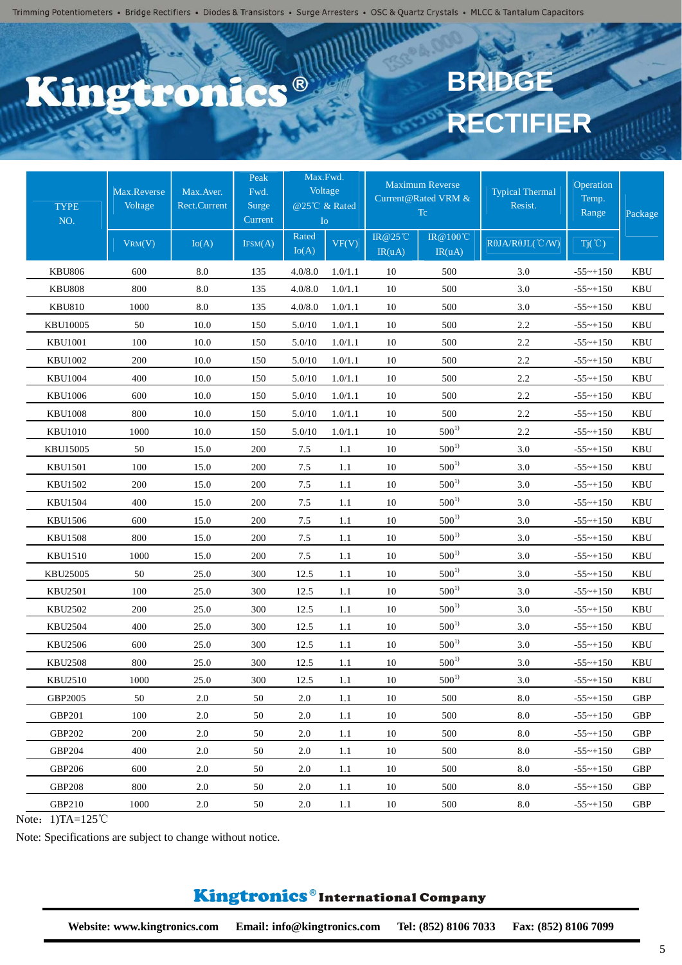## C.C. ® **Ptro**

# **BRIDGE RECTIFIER**

| <b>TYPE</b><br>NO. | Max.Reverse<br>Voltage<br>VRM(V) | Max. Aver.<br><b>Rect.Current</b><br>Io(A) | Peak<br>Fwd.<br>Surge<br>Current<br>IFSM(A) | Max.Fwd.<br>Io<br>Rated | Voltage<br>@25℃ & Rated<br>VF(V) | <b>IR@25°C</b> | <b>Maximum Reverse</b><br>Current@Rated VRM &<br>Tc<br>IR@100℃ | <b>Typical Thermal</b><br>Resist.<br>$R\theta$ JA/R $\theta$ JL(°C/W) | Operation<br>Temp.<br>Range<br>$Tj(\degree C)$ | Package    |
|--------------------|----------------------------------|--------------------------------------------|---------------------------------------------|-------------------------|----------------------------------|----------------|----------------------------------------------------------------|-----------------------------------------------------------------------|------------------------------------------------|------------|
|                    |                                  |                                            |                                             | Io(A)                   |                                  | IR(uA)         | IR(uA)                                                         |                                                                       |                                                |            |
| <b>KBU806</b>      | 600                              | 8.0                                        | 135                                         | 4.0/8.0                 | 1.0/1.1                          | 10             | 500                                                            | 3.0                                                                   | $-55$ ~+150                                    | KBU        |
| <b>KBU808</b>      | 800                              | 8.0                                        | 135                                         | 4.0/8.0                 | 1.0/1.1                          | 10             | 500                                                            | 3.0                                                                   | $-55$ ~+150                                    | <b>KBU</b> |
| <b>KBU810</b>      | 1000                             | 8.0                                        | 135                                         | 4.0/8.0                 | 1.0/1.1                          | 10             | 500                                                            | 3.0                                                                   | $-55$ ~+150                                    | <b>KBU</b> |
| <b>KBU10005</b>    | 50                               | 10.0                                       | 150                                         | 5.0/10                  | 1.0/1.1                          | 10             | 500                                                            | 2.2                                                                   | $-55$ ~+150                                    | <b>KBU</b> |
| <b>KBU1001</b>     | 100                              | 10.0                                       | 150                                         | 5.0/10                  | 1.0/1.1                          | 10             | 500                                                            | 2.2                                                                   | $-55$ ~+150                                    | <b>KBU</b> |
| <b>KBU1002</b>     | 200                              | 10.0                                       | 150                                         | 5.0/10                  | 1.0/1.1                          | 10             | 500                                                            | 2.2                                                                   | $-55$ ~+150                                    | KBU        |
| <b>KBU1004</b>     | 400                              | 10.0                                       | 150                                         | 5.0/10                  | 1.0/1.1                          | 10             | 500                                                            | 2.2                                                                   | $-55$ ~+150                                    | <b>KBU</b> |
| <b>KBU1006</b>     | 600                              | 10.0                                       | 150                                         | 5.0/10                  | 1.0/1.1                          | 10             | 500                                                            | 2.2                                                                   | $-55$ ~+150                                    | KBU        |
| <b>KBU1008</b>     | 800                              | 10.0                                       | 150                                         | 5.0/10                  | 1.0/1.1                          | 10             | 500                                                            | 2.2                                                                   | $-55$ ~+150                                    | <b>KBU</b> |
| <b>KBU1010</b>     | 1000                             | 10.0                                       | 150                                         | 5.0/10                  | 1.0/1.1                          | 10             | $500^{1}$                                                      | 2.2                                                                   | $-55 - +150$                                   | KBU        |
| KBU15005           | 50                               | 15.0                                       | 200                                         | 7.5                     | 1.1                              | 10             | $500^{1}$                                                      | 3.0                                                                   | $-55$ ~+150                                    | <b>KBU</b> |
| <b>KBU1501</b>     | 100                              | 15.0                                       | 200                                         | 7.5                     | 1.1                              | 10             | $500^{1}$                                                      | 3.0                                                                   | $-55$ ~+150                                    | <b>KBU</b> |
| <b>KBU1502</b>     | 200                              | 15.0                                       | 200                                         | 7.5                     | 1.1                              | 10             | $500^{1}$                                                      | 3.0                                                                   | $-55$ ~+150                                    | KBU        |
| <b>KBU1504</b>     | 400                              | 15.0                                       | 200                                         | 7.5                     | 1.1                              | 10             | $500^{1}$                                                      | 3.0                                                                   | $-55$ ~+150                                    | KBU        |
| <b>KBU1506</b>     | 600                              | 15.0                                       | 200                                         | 7.5                     | 1.1                              | 10             | $500^{1}$                                                      | 3.0                                                                   | $-55$ ~+150                                    | <b>KBU</b> |
| <b>KBU1508</b>     | 800                              | 15.0                                       | 200                                         | 7.5                     | 1.1                              | 10             | $500^{1}$                                                      | 3.0                                                                   | $-55$ ~+150                                    | KBU        |
| <b>KBU1510</b>     | 1000                             | 15.0                                       | 200                                         | $7.5\,$                 | 1.1                              | 10             | $500^{1}$                                                      | 3.0                                                                   | $-55$ ~+150                                    | <b>KBU</b> |
| KBU25005           | 50                               | 25.0                                       | 300                                         | 12.5                    | 1.1                              | 10             | $500^{1}$                                                      | 3.0                                                                   | $-55$ ~+150                                    | <b>KBU</b> |
| <b>KBU2501</b>     | 100                              | 25.0                                       | 300                                         | 12.5                    | 1.1                              | 10             | $500^{1}$                                                      | 3.0                                                                   | $-55$ ~+150                                    | <b>KBU</b> |
| <b>KBU2502</b>     | 200                              | 25.0                                       | 300                                         | 12.5                    | 1.1                              | 10             | $500^{1}$                                                      | 3.0                                                                   | $-55$ ~+150                                    | KBU        |
| <b>KBU2504</b>     | 400                              | 25.0                                       | 300                                         | 12.5                    | 1.1                              | 10             | $500^{1}$                                                      | 3.0                                                                   | $-55$ ~+150                                    | <b>KBU</b> |
| KBU2506            | 600                              | 25.0                                       | 300                                         | 12.5                    | 1.1                              | 10             | $500^{1}$                                                      | 3.0                                                                   | $-55$ ~+150                                    | <b>KBU</b> |
| <b>KBU2508</b>     | 800                              | 25.0                                       | 300                                         | 12.5                    | 1.1                              | 10             | $500^{1}$                                                      | 3.0                                                                   | $-55$ ~+150                                    | <b>KBU</b> |
| KBU2510            | 1000                             | 25.0                                       | 300                                         | 12.5                    | 1.1                              | 10             | $500^{1}$                                                      | 3.0                                                                   | $-55$ ~+150                                    | KBU        |
| GBP2005            | 50                               | 2.0                                        | 50                                          | 2.0                     | 1.1                              | 10             | 500                                                            | 8.0                                                                   | $-55$ ~+150                                    | <b>GBP</b> |
| GBP201             | 100                              | $2.0\,$                                    | 50                                          | 2.0                     | 1.1                              | 10             | 500                                                            | $8.0\,$                                                               | $-55$ ~+150                                    | <b>GBP</b> |
| <b>GBP202</b>      | 200                              | 2.0                                        | 50                                          | 2.0                     | 1.1                              | 10             | 500                                                            | 8.0                                                                   | $-55$ ~+150                                    | <b>GBP</b> |
| GBP204             | 400                              | 2.0                                        | 50                                          | 2.0                     | 1.1                              | 10             | 500                                                            | 8.0                                                                   | $-55$ ~+150                                    | <b>GBP</b> |
| <b>GBP206</b>      | 600                              | 2.0                                        | 50                                          | 2.0                     | 1.1                              | 10             | 500                                                            | 8.0                                                                   | $-55$ ~+150                                    | <b>GBP</b> |
| <b>GBP208</b>      | 800                              | 2.0                                        | 50                                          | 2.0                     | $1.1\,$                          | 10             | 500                                                            | 8.0                                                                   | $-55$ ~+150                                    | GBP        |
| GBP210             | 1000                             | 2.0                                        | 50                                          | 2.0                     | $1.1\,$                          | 10             | 500                                                            | 8.0                                                                   | $-55$ ~+150                                    | <b>GBP</b> |

Note: 1)TA=125℃

Note: Specifications are subject to change without notice.

#### Kingtronics®International Company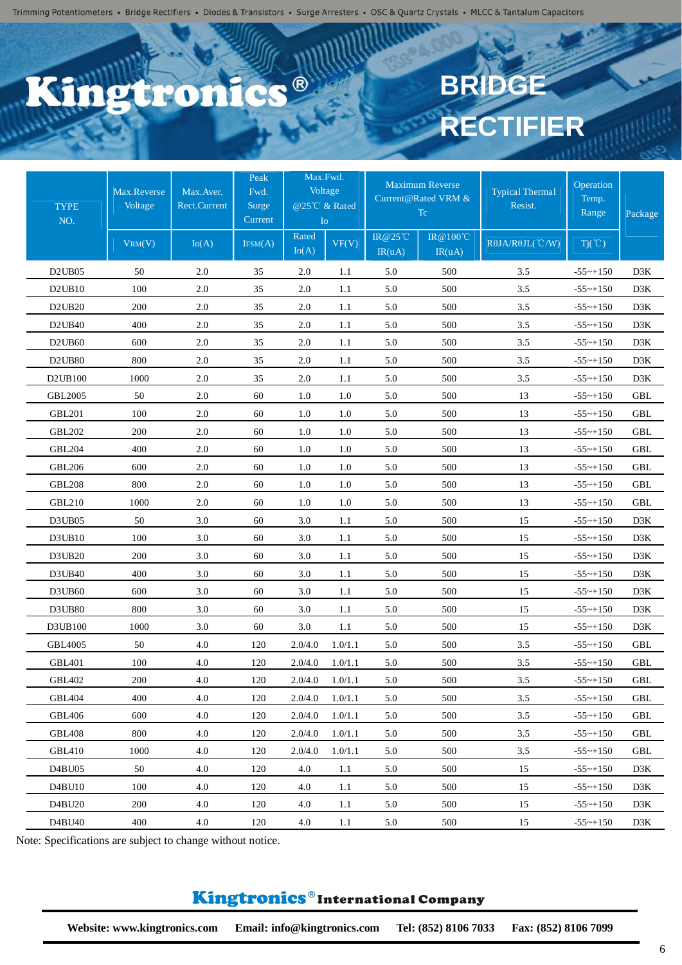### C.C. ® 620

# **BRIDGE RECTIFIER**

| <b>TYPE</b><br>NO.                         | Max.Reverse<br>Voltage | Max.Aver.<br><b>Rect.Current</b> | Peak<br>Fwd.<br><b>Surge</b><br>Current | Io             | Max.Fwd.<br>Voltage<br>@25℃ & Rated |                          | <b>Maximum Reverse</b><br>Current@Rated VRM &<br>Tc | <b>Typical Thermal</b><br>Resist. | Operation<br>Temp.<br>Range | Package    |
|--------------------------------------------|------------------------|----------------------------------|-----------------------------------------|----------------|-------------------------------------|--------------------------|-----------------------------------------------------|-----------------------------------|-----------------------------|------------|
|                                            | VRM(V)                 | Io(A)                            | IFSM(A)                                 | Rated<br>Io(A) | VF(V)                               | <b>IR@25°C</b><br>IR(uA) | IR@100℃<br>IR(uA)                                   | RθJA/RθJL(°C/W)                   | $Tj(\degree C)$             |            |
| D <sub>2</sub> UB <sub>05</sub>            | 50                     | 2.0                              | 35                                      | 2.0            | 1.1                                 | 5.0                      | 500                                                 | 3.5                               | $-55 - +150$                | D3K        |
| D2UB10                                     | 100                    | 2.0                              | 35                                      | 2.0            | 1.1                                 | 5.0                      | 500                                                 | 3.5                               | $-55$ ~+150                 | D3K        |
| D <sub>2</sub> U <sub>B<sub>20</sub></sub> | 200                    | $2.0\,$                          | 35                                      | 2.0            | 1.1                                 | 5.0                      | 500                                                 | 3.5                               | $-55$ ~+150                 | D3K        |
| D <sub>2</sub> U <sub>B40</sub>            | 400                    | 2.0                              | 35                                      | 2.0            | 1.1                                 | 5.0                      | 500                                                 | 3.5                               | $-55 - +150$                | D3K        |
| D <sub>2</sub> U <sub>B60</sub>            | 600                    | $2.0\,$                          | 35                                      | 2.0            | 1.1                                 | 5.0                      | 500                                                 | 3.5                               | $-55 - +150$                | D3K        |
| D2UB80                                     | 800                    | $2.0\,$                          | 35                                      | 2.0            | 1.1                                 | 5.0                      | 500                                                 | 3.5                               | $-55$ ~+150                 | D3K        |
| D2UB100                                    | 1000                   | 2.0                              | 35                                      | 2.0            | 1.1                                 | 5.0                      | 500                                                 | 3.5                               | $-55$ ~+150                 | D3K        |
| <b>GBL2005</b>                             | 50                     | $2.0\,$                          | 60                                      | 1.0            | 1.0                                 | 5.0                      | 500                                                 | 13                                | $-55 - +150$                | GBL        |
| <b>GBL201</b>                              | 100                    | 2.0                              | 60                                      | 1.0            | $1.0\,$                             | 5.0                      | 500                                                 | 13                                | $-55$ ~+150                 | GBL        |
| <b>GBL202</b>                              | 200                    | 2.0                              | 60                                      | 1.0            | 1.0                                 | 5.0                      | 500                                                 | 13                                | $-55$ ~+150                 | <b>GBL</b> |
| <b>GBL204</b>                              | 400                    | $2.0\,$                          | 60                                      | 1.0            | 1.0                                 | 5.0                      | 500                                                 | 13                                | $-55 - +150$                | <b>GBL</b> |
| <b>GBL206</b>                              | 600                    | $2.0\,$                          | 60                                      | 1.0            | 1.0                                 | 5.0                      | 500                                                 | 13                                | $-55$ ~+150                 | <b>GBL</b> |
| <b>GBL208</b>                              | 800                    | $2.0\,$                          | 60                                      | 1.0            | $1.0\,$                             | 5.0                      | 500                                                 | 13                                | $-55 - +150$                | <b>GBL</b> |
| <b>GBL210</b>                              | 1000                   | 2.0                              | 60                                      | 1.0            | 1.0                                 | 5.0                      | 500                                                 | 13                                | $-55$ ~+150                 | <b>GBL</b> |
| D3UB05                                     | 50                     | 3.0                              | 60                                      | 3.0            | 1.1                                 | 5.0                      | 500                                                 | 15                                | $-55$ ~+150                 | D3K        |
| D3UB10                                     | 100                    | 3.0                              | 60                                      | 3.0            | 1.1                                 | 5.0                      | 500                                                 | 15                                | $-55$ ~+150                 | D3K        |
| D3UB20                                     | 200                    | 3.0                              | 60                                      | 3.0            | 1.1                                 | 5.0                      | 500                                                 | 15                                | $-55$ ~+150                 | D3K        |
| D3UB40                                     | 400                    | 3.0                              | 60                                      | 3.0            | 1.1                                 | 5.0                      | 500                                                 | 15                                | $-55$ ~+150                 | D3K        |
| D3UB60                                     | 600                    | 3.0                              | 60                                      | 3.0            | 1.1                                 | 5.0                      | 500                                                 | 15                                | $-55$ ~+150                 | D3K        |
| D3UB80                                     | 800                    | 3.0                              | 60                                      | 3.0            | 1.1                                 | 5.0                      | 500                                                 | 15                                | $-55 - +150$                | D3K        |
| D3UB100                                    | 1000                   | 3.0                              | 60                                      | 3.0            | 1.1                                 | 5.0                      | 500                                                 | 15                                | $-55$ ~+150                 | D3K        |
| <b>GBL4005</b>                             | 50                     | 4.0                              | 120                                     | 2.0/4.0        | 1.0/1.1                             | 5.0                      | 500                                                 | 3.5                               | $-55 - +150$                | <b>GBL</b> |
| <b>GBL401</b>                              | 100                    | 4.0                              | 120                                     | 2.0/4.0        | 1.0/1.1                             | 5.0                      | 500                                                 | 3.5                               | $-55$ ~+150                 | <b>GBL</b> |
| <b>GBL402</b>                              | 200                    | 4.0                              | 120                                     | 2.0/4.0        | 1.0/1.1                             | 5.0                      | 500                                                 | 3.5                               | $-55$ ~+150                 | <b>GBL</b> |
| <b>GBL404</b>                              | 400                    | 4.0                              | 120                                     | 2.0/4.0        | 1.0/1.1                             | 5.0                      | 500                                                 | 3.5                               | $-55$ ~+150                 | GBL        |
| <b>GBL406</b>                              | 600                    | 4.0                              | 120                                     | 2.0/4.0        | 1.0/1.1                             | 5.0                      | 500                                                 | $3.5\,$                           | $-55$ ~+150                 | <b>GBL</b> |
| <b>GBL408</b>                              | 800                    | 4.0                              | 120                                     | 2.0/4.0        | 1.0/1.1                             | 5.0                      | 500                                                 | 3.5                               | $-55$ ~+150                 | GBL        |
| <b>GBL410</b>                              | 1000                   | 4.0                              | 120                                     | 2.0/4.0        | 1.0/1.1                             | 5.0                      | 500                                                 | 3.5                               | $-55 \sim +150$             | GBL        |
| D4BU05                                     | 50                     | 4.0                              | 120                                     | 4.0            | 1.1                                 | 5.0                      | 500                                                 | 15                                | $-55$ ~+150                 | D3K        |
| D4BU10                                     | 100                    | 4.0                              | 120                                     | 4.0            | 1.1                                 | 5.0                      | 500                                                 | 15                                | $-55$ ~+150                 | D3K        |
| D4BU20                                     | 200                    | 4.0                              | 120                                     | 4.0            | 1.1                                 | 5.0                      | 500                                                 | 15                                | $-55 - +150$                | D3K        |
| D4BU40                                     | 400                    | 4.0                              | 120                                     | 4.0            | 1.1                                 | 5.0                      | 500                                                 | 15                                | $-55$ ~+150                 | D3K        |

Note: Specifications are subject to change without notice.

#### Kingtronics®International Company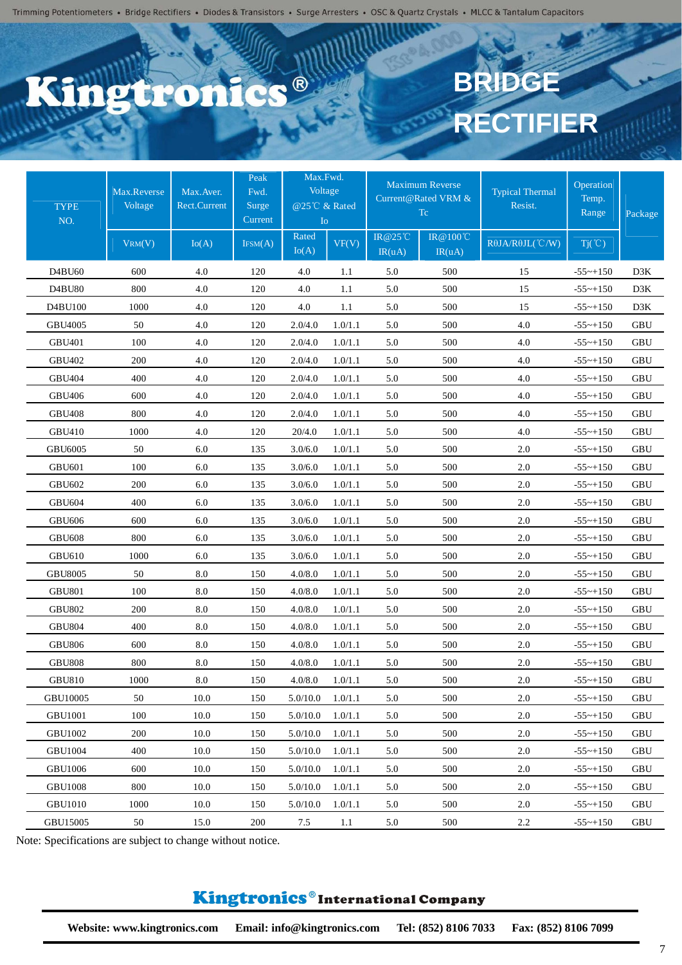#### **C.C.** ®  $\mathbf{S}$

# **BRIDG RECTIFIER**

| <b>TYPE</b><br>NO. | Max.Reverse<br>Voltage<br>VRM(V) | Max.Aver.<br><b>Rect.Current</b><br>Io(A) | Peak<br>Fwd.<br>Surge<br>Current<br>IFSM(A) | Max.Fwd.<br>Voltage<br>@25℃ & Rated<br>I <sub>o</sub><br>Rated | VF(V)   | $IR@25^{\circ}$ C | <b>Maximum Reverse</b><br>Current@Rated VRM &<br>Tc.<br>IR@100°C | <b>Typical Thermal</b><br>Resist.<br>RθJA/RθJL(°C/W) | Operation<br>Temp.<br>Range<br>$Tj(\degree C)$ | Package     |
|--------------------|----------------------------------|-------------------------------------------|---------------------------------------------|----------------------------------------------------------------|---------|-------------------|------------------------------------------------------------------|------------------------------------------------------|------------------------------------------------|-------------|
|                    |                                  |                                           |                                             | Io(A)                                                          |         | IR(uA)            | IR(uA)                                                           |                                                      |                                                |             |
| D4BU60             | 600                              | 4.0                                       | 120                                         | 4.0                                                            | 1.1     | 5.0               | 500                                                              | 15                                                   | $-55$ ~+150                                    | D3K         |
| D4BU80             | 800                              | 4.0                                       | 120                                         | 4.0                                                            | 1.1     | 5.0               | 500                                                              | 15                                                   | $-55 \sim +150$                                | D3K         |
| D4BU100            | 1000                             | 4.0                                       | 120                                         | 4.0                                                            | 1.1     | 5.0               | 500                                                              | 15                                                   | $-55$ ~+150                                    | D3K         |
| GBU4005            | 50                               | 4.0                                       | 120                                         | 2.0/4.0                                                        | 1.0/1.1 | 5.0               | 500                                                              | 4.0                                                  | $-55$ ~+150                                    | <b>GBU</b>  |
| <b>GBU401</b>      | 100                              | 4.0                                       | 120                                         | 2.0/4.0                                                        | 1.0/1.1 | 5.0               | 500                                                              | 4.0                                                  | $-55$ ~+150                                    | <b>GBU</b>  |
| <b>GBU402</b>      | 200                              | 4.0                                       | 120                                         | 2.0/4.0                                                        | 1.0/1.1 | 5.0               | 500                                                              | 4.0                                                  | $-55$ ~+150                                    | GBU         |
| <b>GBU404</b>      | 400                              | 4.0                                       | 120                                         | 2.0/4.0                                                        | 1.0/1.1 | 5.0               | 500                                                              | 4.0                                                  | $-55$ ~+150                                    | <b>GBU</b>  |
| <b>GBU406</b>      | 600                              | 4.0                                       | 120                                         | 2.0/4.0                                                        | 1.0/1.1 | 5.0               | 500                                                              | 4.0                                                  | $-55$ ~+150                                    | GBU         |
| <b>GBU408</b>      | 800                              | 4.0                                       | 120                                         | 2.0/4.0                                                        | 1.0/1.1 | 5.0               | 500                                                              | 4.0                                                  | $-55$ ~+150                                    | <b>GBU</b>  |
| <b>GBU410</b>      | 1000                             | 4.0                                       | 120                                         | 20/4.0                                                         | 1.0/1.1 | 5.0               | 500                                                              | 4.0                                                  | $-55$ ~+150                                    | GBU         |
| <b>GBU6005</b>     | 50                               | $6.0\,$                                   | 135                                         | 3.0/6.0                                                        | 1.0/1.1 | 5.0               | 500                                                              | $2.0\,$                                              | $-55$ ~+150                                    | <b>GBU</b>  |
| <b>GBU601</b>      | 100                              | $6.0\,$                                   | 135                                         | 3.0/6.0                                                        | 1.0/1.1 | 5.0               | 500                                                              | $2.0\,$                                              | $-55$ ~+150                                    | <b>GBU</b>  |
| <b>GBU602</b>      | 200                              | 6.0                                       | 135                                         | 3.0/6.0                                                        | 1.0/1.1 | 5.0               | 500                                                              | $2.0\,$                                              | $-55$ ~+150                                    | GBU         |
| <b>GBU604</b>      | 400                              | 6.0                                       | 135                                         | 3.0/6.0                                                        | 1.0/1.1 | 5.0               | 500                                                              | $2.0\,$                                              | $-55$ ~+150                                    | <b>GBU</b>  |
| <b>GBU606</b>      | 600                              | 6.0                                       | 135                                         | 3.0/6.0                                                        | 1.0/1.1 | 5.0               | 500                                                              | 2.0                                                  | $-55$ ~+150                                    | <b>GBU</b>  |
| <b>GBU608</b>      | 800                              | 6.0                                       | 135                                         | 3.0/6.0                                                        | 1.0/1.1 | 5.0               | 500                                                              | $2.0\,$                                              | $-55$ ~+150                                    | GBU         |
| <b>GBU610</b>      | 1000                             | 6.0                                       | 135                                         | 3.0/6.0                                                        | 1.0/1.1 | 5.0               | 500                                                              | $2.0\,$                                              | $-55$ ~+150                                    | ${\bf GBU}$ |
| <b>GBU8005</b>     | 50                               | $8.0\,$                                   | 150                                         | 4.0/8.0                                                        | 1.0/1.1 | 5.0               | 500                                                              | $2.0\,$                                              | $-55$ ~+150                                    | <b>GBU</b>  |
| <b>GBU801</b>      | 100                              | $8.0\,$                                   | 150                                         | 4.0/8.0                                                        | 1.0/1.1 | 5.0               | 500                                                              | $2.0\,$                                              | $-55$ ~+150                                    | <b>GBU</b>  |
| <b>GBU802</b>      | 200                              | 8.0                                       | 150                                         | 4.0/8.0                                                        | 1.0/1.1 | 5.0               | 500                                                              | 2.0                                                  | $-55$ ~+150                                    | GBU         |
| <b>GBU804</b>      | 400                              | $8.0\,$                                   | 150                                         | 4.0/8.0                                                        | 1.0/1.1 | 5.0               | 500                                                              | 2.0                                                  | $-55$ ~+150                                    | <b>GBU</b>  |
| <b>GBU806</b>      | 600                              | 8.0                                       | 150                                         | 4.0/8.0                                                        | 1.0/1.1 | 5.0               | 500                                                              | 2.0                                                  | $-55$ ~+150                                    | GBU         |
| <b>GBU808</b>      | 800                              | $8.0\,$                                   | 150                                         | 4.0/8.0                                                        | 1.0/1.1 | 5.0               | 500                                                              | $2.0\,$                                              | $-55$ ~+150                                    | <b>GBU</b>  |
| <b>GBU810</b>      | 1000                             | $8.0\,$                                   | 150                                         | 4.0/8.0                                                        | 1.0/1.1 | 5.0               | 500                                                              | 2.0                                                  | $-55$ ~+150                                    | GBU         |
| <b>GBU10005</b>    | 50                               | 10.0                                      | 150                                         | 5.0/10.0                                                       | 1.0/1.1 | 5.0               | 500                                                              | 2.0                                                  | $-55$ ~+150                                    | GBU         |
| <b>GBU1001</b>     | 100                              | 10.0                                      | 150                                         | 5.0/10.0                                                       | 1.0/1.1 | 5.0               | 500                                                              | $2.0\,$                                              | $-55$ ~+150                                    | <b>GBU</b>  |
| <b>GBU1002</b>     | 200                              | 10.0                                      | 150                                         | 5.0/10.0                                                       | 1.0/1.1 | 5.0               | 500                                                              | 2.0                                                  | $-55$ ~+150                                    | GBU         |
| <b>GBU1004</b>     | 400                              | 10.0                                      | 150                                         | 5.0/10.0                                                       | 1.0/1.1 | 5.0               | 500                                                              | 2.0                                                  | $-55$ ~+150                                    | <b>GBU</b>  |
| GBU1006            | 600                              | 10.0                                      | 150                                         | 5.0/10.0                                                       | 1.0/1.1 | 5.0               | 500                                                              | 2.0                                                  | $-55$ ~+150                                    | GBU         |
| <b>GBU1008</b>     | 800                              | 10.0                                      | 150                                         | 5.0/10.0                                                       | 1.0/1.1 | 5.0               | 500                                                              | 2.0                                                  | $-55$ ~+150                                    | GBU         |
| <b>GBU1010</b>     | 1000                             | 10.0                                      | 150                                         | 5.0/10.0                                                       | 1.0/1.1 | 5.0               | 500                                                              | $2.0\,$                                              | $-55$ ~+150                                    | GBU         |
| GBU15005           | 50                               | 15.0                                      | 200                                         | 7.5                                                            | 1.1     | 5.0               | 500                                                              | 2.2                                                  | $-55$ ~+150                                    | GBU         |

Note: Specifications are subject to change without notice.

#### Kingtronics®International Company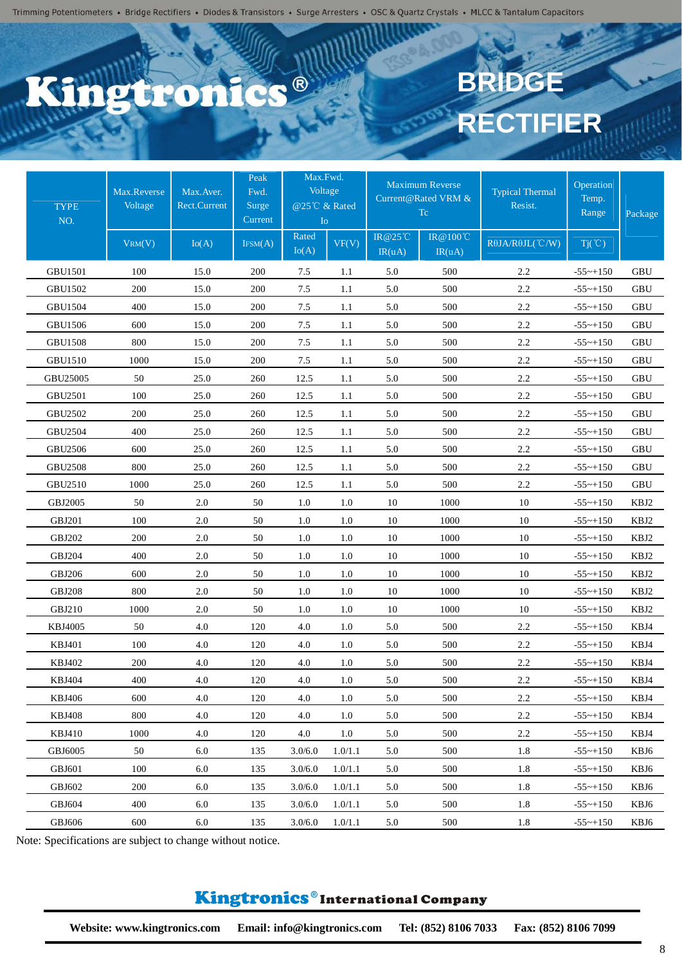#### **DR**  $\mathbf{S}$

# **BRIDG RECTIFIER**

| <b>TYPE</b><br>NO. | Max.Reverse<br>Voltage<br>VRM(V) | Max.Aver.<br>Rect.Current<br>Io(A) | Peak<br>Fwd.<br>Surge<br>Current | Max.Fwd.<br>Voltage<br>@25°C & Rated<br>Io<br>Rated | VF(V)   | <b>IR@25°C</b> | <b>Maximum Reverse</b><br>Current@Rated VRM &<br>Tc<br>IR @ 100℃ | <b>Typical Thermal</b><br>Resist.<br>RθJA/RθJL(°C/W) | Operation<br>Temp.<br>Range | Package              |
|--------------------|----------------------------------|------------------------------------|----------------------------------|-----------------------------------------------------|---------|----------------|------------------------------------------------------------------|------------------------------------------------------|-----------------------------|----------------------|
|                    |                                  |                                    | IFSM(A)                          | Io(A)                                               |         | IR(uA)         | IR(uA)                                                           |                                                      | $Tj(\degree C)$             |                      |
| <b>GBU1501</b>     | 100                              | 15.0                               | 200                              | 7.5                                                 | 1.1     | 5.0            | 500                                                              | 2.2                                                  | $-55$ ~+150                 | GBU                  |
| GBU1502            | 200                              | 15.0                               | 200                              | 7.5                                                 | 1.1     | 5.0            | 500                                                              | 2.2                                                  | $-55$ ~+150                 | <b>GBU</b>           |
| <b>GBU1504</b>     | 400                              | 15.0                               | 200                              | 7.5                                                 | 1.1     | 5.0            | 500                                                              | 2.2                                                  | $-55$ ~+150                 | GBU                  |
| <b>GBU1506</b>     | 600                              | 15.0                               | 200                              | 7.5                                                 | 1.1     | 5.0            | 500                                                              | 2.2                                                  | $-55$ ~+150                 | <b>GBU</b>           |
| <b>GBU1508</b>     | 800                              | 15.0                               | 200                              | 7.5                                                 | 1.1     | 5.0            | 500                                                              | 2.2                                                  | $-55$ ~+150                 | <b>GBU</b>           |
| <b>GBU1510</b>     | 1000                             | 15.0                               | 200                              | 7.5                                                 | 1.1     | 5.0            | 500                                                              | 2.2                                                  | $-55$ ~+150                 | <b>GBU</b>           |
| GBU25005           | 50                               | 25.0                               | 260                              | 12.5                                                | 1.1     | 5.0            | 500                                                              | 2.2                                                  | $-55$ ~+150                 | <b>GBU</b>           |
| GBU2501            | 100                              | 25.0                               | 260                              | 12.5                                                | 1.1     | 5.0            | 500                                                              | 2.2                                                  | $-55$ ~+150                 | GBU                  |
| GBU2502            | 200                              | 25.0                               | 260                              | 12.5                                                | 1.1     | 5.0            | 500                                                              | 2.2                                                  | $-55$ ~+150                 | $\operatorname{GBU}$ |
| GBU2504            | 400                              | 25.0                               | 260                              | 12.5                                                | 1.1     | 5.0            | 500                                                              | 2.2                                                  | $-55 - +150$                | GBU                  |
| GBU2506            | 600                              | 25.0                               | 260                              | 12.5                                                | 1.1     | 5.0            | 500                                                              | 2.2                                                  | $-55$ ~+150                 | <b>GBU</b>           |
| <b>GBU2508</b>     | 800                              | 25.0                               | 260                              | 12.5                                                | 1.1     | 5.0            | 500                                                              | 2.2                                                  | $-55$ ~+150                 | <b>GBU</b>           |
| GBU2510            | 1000                             | 25.0                               | 260                              | 12.5                                                | 1.1     | 5.0            | 500                                                              | 2.2                                                  | $-55$ ~+150                 | GBU                  |
| GBJ2005            | 50                               | 2.0                                | 50                               | 1.0                                                 | 1.0     | 10             | 1000                                                             | 10                                                   | $-55$ ~+150                 | KBJ2                 |
| <b>GBJ201</b>      | 100                              | 2.0                                | 50                               | 1.0                                                 | 1.0     | 10             | 1000                                                             | 10                                                   | $-55$ ~+150                 | KBJ2                 |
| <b>GBJ202</b>      | 200                              | 2.0                                | 50                               | 1.0                                                 | 1.0     | 10             | 1000                                                             | 10                                                   | $-55$ ~+150                 | KBJ2                 |
| <b>GBJ204</b>      | 400                              | 2.0                                | 50                               | 1.0                                                 | 1.0     | 10             | 1000                                                             | 10                                                   | $-55$ ~+150                 | KBJ2                 |
| <b>GBJ206</b>      | 600                              | 2.0                                | 50                               | 1.0                                                 | 1.0     | 10             | 1000                                                             | 10                                                   | $-55$ ~+150                 | KBJ2                 |
| <b>GBJ208</b>      | 800                              | 2.0                                | 50                               | 1.0                                                 | 1.0     | 10             | 1000                                                             | 10                                                   | $-55$ ~+150                 | KBJ2                 |
| GBJ210             | 1000                             | 2.0                                | 50                               | 1.0                                                 | 1.0     | 10             | 1000                                                             | 10                                                   | $-55$ ~+150                 | KBJ2                 |
| <b>KBJ4005</b>     | 50                               | 4.0                                | 120                              | 4.0                                                 | 1.0     | 5.0            | 500                                                              | 2.2                                                  | $-55$ ~+150                 | KBJ4                 |
| <b>KBJ401</b>      | 100                              | 4.0                                | 120                              | 4.0                                                 | 1.0     | 5.0            | 500                                                              | 2.2                                                  | $-55$ ~+150                 | KBJ4                 |
| KBJ402             | 200                              | 4.0                                | 120                              | $4.0\,$                                             | 1.0     | 5.0            | 500                                                              | 2.2                                                  | $-55$ ~+150                 | KBJ4                 |
| <b>KBJ404</b>      | 400                              | 4.0                                | 120                              | 4.0                                                 | 1.0     | 5.0            | 500                                                              | 2.2                                                  | $-55$ ~+150                 | KBJ4                 |
| <b>KBJ406</b>      | 600                              | 4.0                                | 120                              | 4.0                                                 | 1.0     | 5.0            | 500                                                              | 2.2                                                  | $-55$ ~+150                 | KBJ4                 |
| <b>KBJ408</b>      | 800                              | 4.0                                | 120                              | 4.0                                                 | 1.0     | 5.0            | 500                                                              | 2.2                                                  | $-55$ ~+150                 | KBJ4                 |
| KBJ410             | 1000                             | 4.0                                | 120                              | 4.0                                                 | 1.0     | 5.0            | 500                                                              | 2.2                                                  | $-55$ ~+150                 | KBJ4                 |
| GBJ6005            | 50                               | 6.0                                | 135                              | 3.0/6.0                                             | 1.0/1.1 | 5.0            | 500                                                              | 1.8                                                  | $-55$ ~+150                 | KBJ6                 |
| GBJ601             | 100                              | 6.0                                | 135                              | 3.0/6.0                                             | 1.0/1.1 | 5.0            | 500                                                              | 1.8                                                  | $-55$ ~+150                 | KBJ6                 |
| GBJ602             | 200                              | 6.0                                | 135                              | 3.0/6.0                                             | 1.0/1.1 | 5.0            | 500                                                              | 1.8                                                  | $-55$ ~+150                 | KBJ6                 |
| GBJ604             | 400                              | 6.0                                | 135                              | 3.0/6.0                                             | 1.0/1.1 | 5.0            | 500                                                              | 1.8                                                  | $-55$ ~+150                 | KBJ6                 |
| GBJ606             | 600                              | 6.0                                | 135                              | 3.0/6.0                                             | 1.0/1.1 | 5.0            | 500                                                              | 1.8                                                  | $-55$ ~+150                 | KBJ6                 |

Note: Specifications are subject to change without notice.

#### Kingtronics®International Company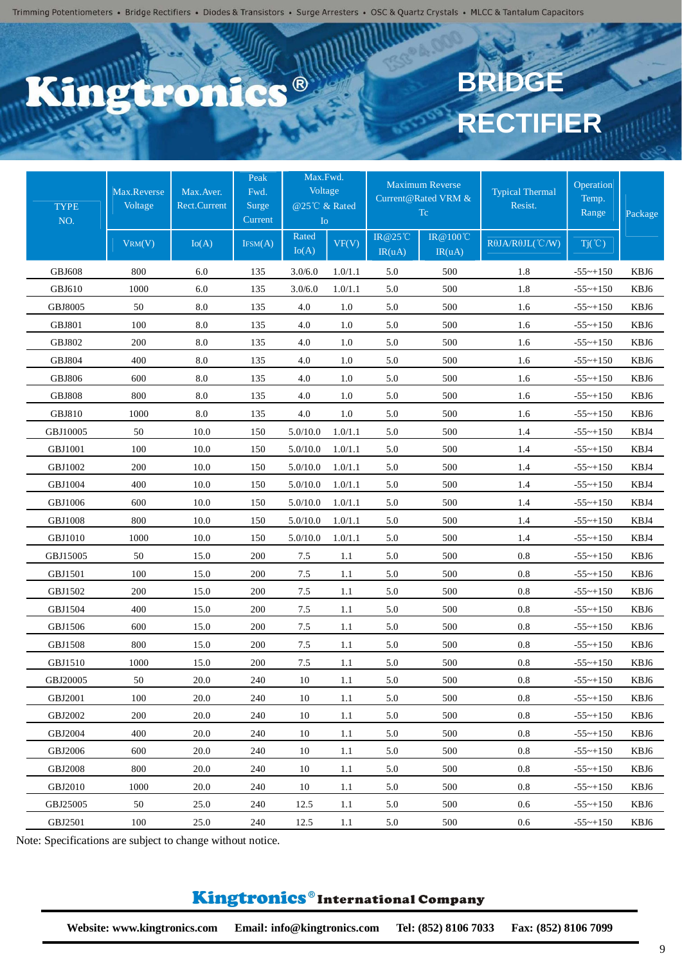### C.C. ®  $\mathbf{S}$

# **BRIDG RECTIFIER**

| <b>TYPE</b><br>NO. | Max.Reverse<br>Voltage | Max.Aver.<br><b>Rect.Current</b> | Peak<br>Fwd.<br>Surge<br>Current | Max.Fwd.<br>Voltage<br>@25℃ & Rated<br>I <sub>o</sub><br>Rated |         | $IR@25^{\circ}$ C | <b>Maximum Reverse</b><br>Current@Rated VRM &<br>Tc.<br>IR@100°C | <b>Typical Thermal</b><br>Resist. | Operation<br>Temp.<br>Range | Package |
|--------------------|------------------------|----------------------------------|----------------------------------|----------------------------------------------------------------|---------|-------------------|------------------------------------------------------------------|-----------------------------------|-----------------------------|---------|
|                    | VRM(V)                 | Io(A)                            | IFSM(A)                          | Io(A)                                                          | VF(V)   | IR(uA)            | IR(uA)                                                           | RθJA/RθJL(°C/W)                   | $Tj(\degree C)$             |         |
| <b>GBJ608</b>      | 800                    | 6.0                              | 135                              | 3.0/6.0                                                        | 1.0/1.1 | 5.0               | 500                                                              | 1.8                               | $-55$ ~+150                 | KBJ6    |
| GBJ610             | 1000                   | 6.0                              | 135                              | 3.0/6.0                                                        | 1.0/1.1 | 5.0               | 500                                                              | $1.8\,$                           | $-55$ ~+150                 | KBJ6    |
| GBJ8005            | 50                     | 8.0                              | 135                              | 4.0                                                            | 1.0     | 5.0               | 500                                                              | 1.6                               | $-55$ ~+150                 | KBJ6    |
| <b>GBJ801</b>      | 100                    | $8.0\,$                          | 135                              | 4.0                                                            | 1.0     | 5.0               | 500                                                              | 1.6                               | $-55$ ~+150                 | KBJ6    |
| <b>GBJ802</b>      | 200                    | $8.0\,$                          | 135                              | 4.0                                                            | 1.0     | 5.0               | 500                                                              | 1.6                               | $-55$ ~+150                 | KBJ6    |
| <b>GBJ804</b>      | 400                    | $8.0\,$                          | 135                              | 4.0                                                            | 1.0     | 5.0               | 500                                                              | 1.6                               | $-55$ ~+150                 | KBJ6    |
| <b>GBJ806</b>      | 600                    | $8.0\,$                          | 135                              | 4.0                                                            | 1.0     | 5.0               | 500                                                              | 1.6                               | $-55$ ~+150                 | KBJ6    |
| <b>GBJ808</b>      | 800                    | 8.0                              | 135                              | 4.0                                                            | 1.0     | 5.0               | 500                                                              | 1.6                               | $-55$ ~+150                 | KBJ6    |
| <b>GBJ810</b>      | 1000                   | $8.0\,$                          | 135                              | 4.0                                                            | 1.0     | 5.0               | 500                                                              | 1.6                               | $-55$ ~+150                 | KBJ6    |
| GBJ10005           | 50                     | 10.0                             | 150                              | 5.0/10.0                                                       | 1.0/1.1 | 5.0               | 500                                                              | 1.4                               | $-55$ ~+150                 | KBJ4    |
| <b>GBJ1001</b>     | 100                    | 10.0                             | 150                              | 5.0/10.0                                                       | 1.0/1.1 | 5.0               | 500                                                              | 1.4                               | $-55$ ~+150                 | KBJ4    |
| GBJ1002            | 200                    | 10.0                             | 150                              | 5.0/10.0                                                       | 1.0/1.1 | 5.0               | 500                                                              | 1.4                               | $-55$ ~+150                 | KBJ4    |
| <b>GBJ1004</b>     | 400                    | 10.0                             | 150                              | 5.0/10.0                                                       | 1.0/1.1 | 5.0               | 500                                                              | 1.4                               | $-55$ ~+150                 | KBJ4    |
| GBJ1006            | 600                    | 10.0                             | 150                              | 5.0/10.0                                                       | 1.0/1.1 | 5.0               | 500                                                              | 1.4                               | $-55$ ~+150                 | KBJ4    |
| <b>GBJ1008</b>     | 800                    | 10.0                             | 150                              | 5.0/10.0                                                       | 1.0/1.1 | 5.0               | 500                                                              | 1.4                               | $-55$ ~+150                 | KBJ4    |
| <b>GBJ1010</b>     | 1000                   | 10.0                             | 150                              | 5.0/10.0                                                       | 1.0/1.1 | 5.0               | 500                                                              | 1.4                               | $-55$ ~+150                 | KBJ4    |
| GBJ15005           | 50                     | 15.0                             | 200                              | 7.5                                                            | 1.1     | 5.0               | 500                                                              | $0.8\,$                           | $-55$ ~+150                 | KBJ6    |
| GBJ1501            | 100                    | 15.0                             | 200                              | 7.5                                                            | 1.1     | 5.0               | 500                                                              | $0.8\,$                           | $-55$ ~+150                 | KBJ6    |
| GBJ1502            | 200                    | 15.0                             | 200                              | 7.5                                                            | 1.1     | 5.0               | 500                                                              | 0.8                               | $-55$ ~+150                 | KBJ6    |
| GBJ1504            | 400                    | 15.0                             | 200                              | 7.5                                                            | 1.1     | 5.0               | 500                                                              | 0.8                               | $-55$ ~+150                 | KBJ6    |
| GBJ1506            | 600                    | 15.0                             | 200                              | 7.5                                                            | 1.1     | 5.0               | 500                                                              | 0.8                               | $-55$ ~+150                 | KBJ6    |
| GBJ1508            | 800                    | 15.0                             | 200                              | 7.5                                                            | 1.1     | 5.0               | 500                                                              | $0.8\,$                           | $-55$ ~+150                 | KBJ6    |
| GBJ1510            | 1000                   | 15.0                             | 200                              | 7.5                                                            | 1.1     | 5.0               | 500                                                              | $0.8\,$                           | $-55$ ~+150                 | KBJ6    |
| GBJ20005           | 50                     | 20.0                             | 240                              | 10                                                             | 1.1     | 5.0               | 500                                                              | $0.8\,$                           | $-55$ ~+150                 | KBJ6    |
| <b>GBJ2001</b>     | 100                    | 20.0                             | 240                              | 10                                                             | $1.1\,$ | 5.0               | 500                                                              | 0.8                               | $-55$ ~+150                 | KBJ6    |
| GBJ2002            | 200                    | 20.0                             | 240                              | 10                                                             | 1.1     | 5.0               | 500                                                              | $0.8\,$                           | $-55$ ~+150                 | KBJ6    |
| GBJ2004            | 400                    | 20.0                             | 240                              | 10                                                             | 1.1     | 5.0               | 500                                                              | 0.8                               | $-55$ ~+150                 | KBJ6    |
| GBJ2006            | 600                    | 20.0                             | 240                              | 10                                                             | 1.1     | 5.0               | 500                                                              | 0.8                               | $-55$ ~+150                 | KBJ6    |
| <b>GBJ2008</b>     | 800                    | 20.0                             | 240                              | 10                                                             | 1.1     | 5.0               | 500                                                              | 0.8                               | $-55$ ~+150                 | KBJ6    |
| GBJ2010            | 1000                   | 20.0                             | 240                              | 10                                                             | 1.1     | 5.0               | 500                                                              | 0.8                               | $-55$ ~+150                 | KBJ6    |
| GBJ25005           | 50                     | 25.0                             | 240                              | 12.5                                                           | 1.1     | 5.0               | 500                                                              | 0.6                               | $-55$ ~+150                 | KBJ6    |
| GBJ2501            | 100                    | 25.0                             | 240                              | 12.5                                                           | 1.1     | 5.0               | 500                                                              | 0.6                               | $-55$ ~+150                 | KBJ6    |

Note: Specifications are subject to change without notice.

#### Kingtronics®International Company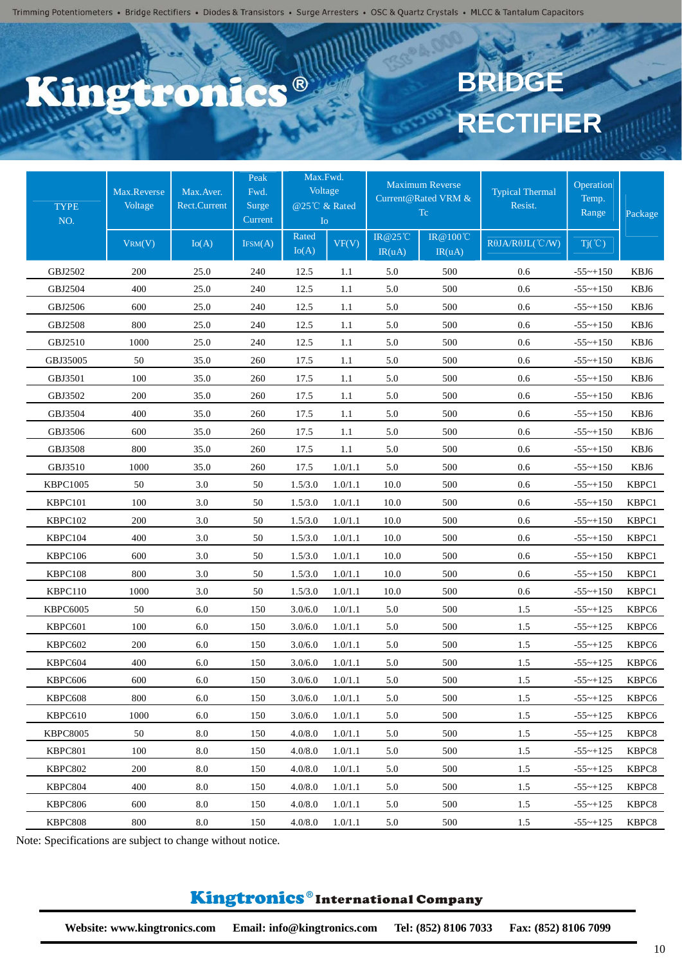#### **C.C.** ® E.

# **BRIDG RECTIFIER**

| <b>TYPE</b><br>NO. | Max.Reverse<br>Voltage<br>VRM(V) | Max.Aver.<br><b>Rect.Current</b><br>Io(A) | Peak<br>Fwd.<br>Surge<br>Current<br>IFSM(A) | Max.Fwd.<br>Voltage<br>@25℃ & Rated<br>Io<br>Rated | VF(V)   | <b>IR@25°C</b> | <b>Maximum Reverse</b><br>Current@Rated VRM &<br>Tc<br>IR @ 100℃ | <b>Typical Thermal</b><br>Resist.<br>RθJA/RθJL(°C/W) | Operation<br>Temp.<br>Range<br>$Tj(\degree C)$ | Package |
|--------------------|----------------------------------|-------------------------------------------|---------------------------------------------|----------------------------------------------------|---------|----------------|------------------------------------------------------------------|------------------------------------------------------|------------------------------------------------|---------|
|                    |                                  |                                           |                                             | Io(A)                                              |         | IR(uA)         | IR(uA)                                                           |                                                      |                                                |         |
| GBJ2502            | 200                              | 25.0                                      | 240                                         | 12.5                                               | 1.1     | 5.0            | 500                                                              | 0.6                                                  | $-55$ ~+150                                    | KBJ6    |
| GBJ2504            | 400                              | 25.0                                      | 240                                         | 12.5                                               | 1.1     | 5.0            | 500                                                              | 0.6                                                  | $-55$ ~+150                                    | KBJ6    |
| GBJ2506            | 600                              | 25.0                                      | 240                                         | 12.5                                               | 1.1     | 5.0            | 500                                                              | 0.6                                                  | $-55$ ~+150                                    | KBJ6    |
| <b>GBJ2508</b>     | 800                              | 25.0                                      | 240                                         | 12.5                                               | 1.1     | 5.0            | 500                                                              | 0.6                                                  | $-55$ ~+150                                    | KBJ6    |
| GBJ2510            | 1000                             | 25.0                                      | 240                                         | 12.5                                               | 1.1     | 5.0            | 500                                                              | 0.6                                                  | $-55$ ~+150                                    | KBJ6    |
| GBJ35005           | 50                               | 35.0                                      | 260                                         | 17.5                                               | 1.1     | 5.0            | 500                                                              | 0.6                                                  | $-55$ ~+150                                    | KBJ6    |
| GBJ3501            | 100                              | 35.0                                      | 260                                         | 17.5                                               | 1.1     | 5.0            | 500                                                              | 0.6                                                  | $-55$ ~+150                                    | KBJ6    |
| GBJ3502            | 200                              | 35.0                                      | 260                                         | 17.5                                               | 1.1     | 5.0            | 500                                                              | 0.6                                                  | $-55$ ~+150                                    | KBJ6    |
| GBJ3504            | 400                              | 35.0                                      | 260                                         | 17.5                                               | 1.1     | 5.0            | 500                                                              | 0.6                                                  | $-55$ ~+150                                    | KBJ6    |
| GBJ3506            | 600                              | 35.0                                      | 260                                         | 17.5                                               | 1.1     | 5.0            | 500                                                              | 0.6                                                  | $-55 - +150$                                   | KBJ6    |
| GBJ3508            | 800                              | 35.0                                      | 260                                         | 17.5                                               | 1.1     | 5.0            | 500                                                              | 0.6                                                  | $-55$ ~+150                                    | KBJ6    |
| GBJ3510            | 1000                             | 35.0                                      | 260                                         | 17.5                                               | 1.0/1.1 | 5.0            | 500                                                              | 0.6                                                  | $-55$ ~+150                                    | KBJ6    |
| <b>KBPC1005</b>    | 50                               | 3.0                                       | 50                                          | 1.5/3.0                                            | 1.0/1.1 | 10.0           | 500                                                              | 0.6                                                  | $-55$ ~+150                                    | KBPC1   |
| KBPC101            | 100                              | 3.0                                       | 50                                          | 1.5/3.0                                            | 1.0/1.1 | 10.0           | 500                                                              | 0.6                                                  | $-55$ ~+150                                    | KBPC1   |
| KBPC102            | 200                              | 3.0                                       | 50                                          | 1.5/3.0                                            | 1.0/1.1 | 10.0           | 500                                                              | 0.6                                                  | $-55$ ~+150                                    | KBPC1   |
| KBPC104            | 400                              | 3.0                                       | 50                                          | 1.5/3.0                                            | 1.0/1.1 | 10.0           | 500                                                              | 0.6                                                  | $-55$ ~+150                                    | KBPC1   |
| KBPC106            | 600                              | 3.0                                       | 50                                          | 1.5/3.0                                            | 1.0/1.1 | 10.0           | 500                                                              | 0.6                                                  | $-55$ ~+150                                    | KBPC1   |
| KBPC108            | 800                              | 3.0                                       | 50                                          | 1.5/3.0                                            | 1.0/1.1 | 10.0           | 500                                                              | 0.6                                                  | $-55$ ~+150                                    | KBPC1   |
| KBPC110            | 1000                             | 3.0                                       | 50                                          | 1.5/3.0                                            | 1.0/1.1 | 10.0           | 500                                                              | 0.6                                                  | $-55$ ~+150                                    | KBPC1   |
| <b>KBPC6005</b>    | 50                               | 6.0                                       | 150                                         | 3.0/6.0                                            | 1.0/1.1 | 5.0            | 500                                                              | 1.5                                                  | $-55$ ~+125                                    | KBPC6   |
| KBPC601            | 100                              | 6.0                                       | 150                                         | 3.0/6.0                                            | 1.0/1.1 | 5.0            | 500                                                              | 1.5                                                  | $-55$ ~+125                                    | KBPC6   |
| KBPC602            | 200                              | 6.0                                       | 150                                         | 3.0/6.0                                            | 1.0/1.1 | 5.0            | 500                                                              | 1.5                                                  | $-55$ ~+125                                    | KBPC6   |
| KBPC604            | 400                              | 6.0                                       | 150                                         | 3.0/6.0                                            | 1.0/1.1 | 5.0            | 500                                                              | 1.5                                                  | $-55$ ~+125                                    | KBPC6   |
| KBPC606            | 600                              | 6.0                                       | 150                                         | 3.0/6.0                                            | 1.0/1.1 | 5.0            | 500                                                              | 1.5                                                  | $-55$ ~+125                                    | KBPC6   |
| KBPC608            | 800                              | 6.0                                       | 150                                         | 3.0/6.0                                            | 1.0/1.1 | 5.0            | 500                                                              | 1.5                                                  | $-55$ ~+125                                    | KBPC6   |
| KBPC610            | 1000                             | 6.0                                       | 150                                         | 3.0/6.0                                            | 1.0/1.1 | 5.0            | 500                                                              | 1.5                                                  | $-55$ ~+125                                    | KBPC6   |
| <b>KBPC8005</b>    | 50                               | 8.0                                       | 150                                         | 4.0/8.0                                            | 1.0/1.1 | 5.0            | 500                                                              | 1.5                                                  | $-55$ ~+125                                    | KBPC8   |
| KBPC801            | 100                              | 8.0                                       | 150                                         | 4.0/8.0                                            | 1.0/1.1 | 5.0            | 500                                                              | 1.5                                                  | $-55$ ~+125                                    | KBPC8   |
| KBPC802            | 200                              | 8.0                                       | 150                                         | 4.0/8.0                                            | 1.0/1.1 | 5.0            | 500                                                              | 1.5                                                  | $-55$ ~+125                                    | KBPC8   |
| KBPC804            | 400                              | 8.0                                       | 150                                         | 4.0/8.0                                            | 1.0/1.1 | 5.0            | 500                                                              | 1.5                                                  | $-55$ ~+125                                    | KBPC8   |
| KBPC806            | 600                              | 8.0                                       | 150                                         | 4.0/8.0                                            | 1.0/1.1 | 5.0            | 500                                                              | 1.5                                                  | $-55 - +125$                                   | KBPC8   |
| KBPC808            | 800                              | 8.0                                       | 150                                         | 4.0/8.0                                            | 1.0/1.1 | 5.0            | 500                                                              | 1.5                                                  | $-55$ ~+125                                    | KBPC8   |

Note: Specifications are subject to change without notice.

#### Kingtronics®International Company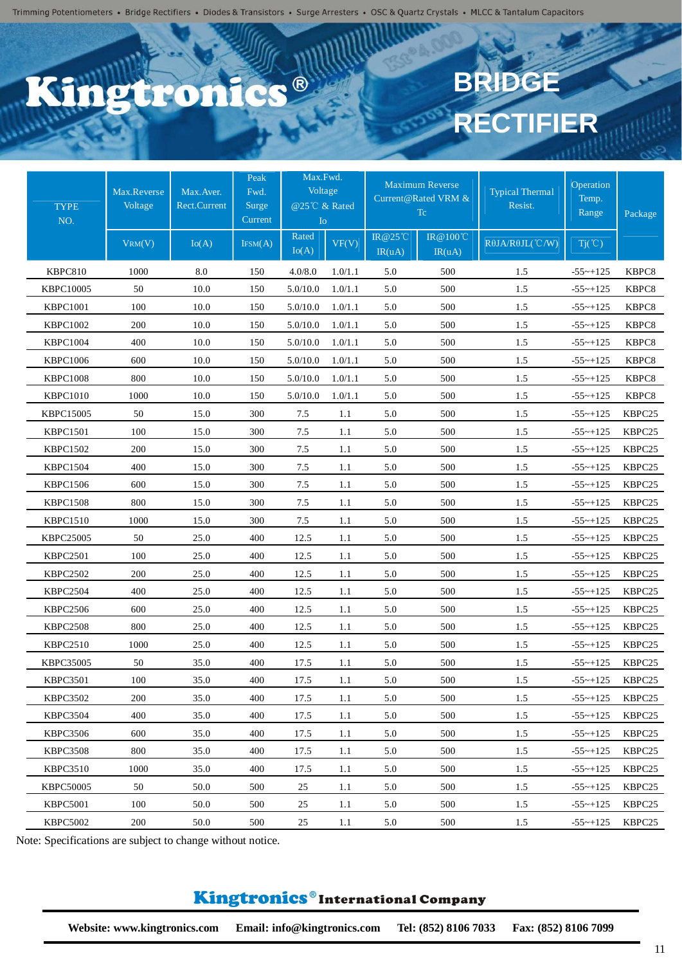#### C.C. ®  $\bigcap$

# **BRIDG RECTIFIER**

| <b>TYPE</b><br>NO. | Max.Reverse<br>Voltage | Max.Aver.<br><b>Rect.Current</b> | Peak<br>Fwd.<br>Surge<br>Current | Max.Fwd.<br>Voltage<br>@25℃ & Rated<br>I <sub>o</sub> |         |                   | <b>Maximum Reverse</b><br>Current@Rated VRM &<br>Tc | <b>Typical Thermal</b><br>Resist. | Operation<br>Temp.<br>Range | Package |
|--------------------|------------------------|----------------------------------|----------------------------------|-------------------------------------------------------|---------|-------------------|-----------------------------------------------------|-----------------------------------|-----------------------------|---------|
|                    | VRM(V)                 | Io(A)                            | IFSM(A)                          | Rated<br>Io(A)                                        | VF(V)   | IR@25°C<br>IR(uA) | IR @ 100℃<br>IR(uA)                                 | $R\theta$ JA/ $R\theta$ JL(°C/W)  | $Tj(\degree C)$             |         |
| KBPC810            | 1000                   | 8.0                              | 150                              | 4.0/8.0                                               | 1.0/1.1 | 5.0               | 500                                                 | 1.5                               | $-55$ ~ $+125$              | KBPC8   |
| KBPC10005          | 50                     | 10.0                             | 150                              | 5.0/10.0                                              | 1.0/1.1 | 5.0               | 500                                                 | 1.5                               | $-55$ ~+125                 | KBPC8   |
| <b>KBPC1001</b>    | 100                    | 10.0                             | 150                              | 5.0/10.0                                              | 1.0/1.1 | 5.0               | 500                                                 | 1.5                               | $-55$ ~ $+125$              | KBPC8   |
| <b>KBPC1002</b>    | 200                    | 10.0                             | 150                              | 5.0/10.0                                              | 1.0/1.1 | 5.0               | 500                                                 | 1.5                               | $-55$ ~+125                 | KBPC8   |
| <b>KBPC1004</b>    | 400                    | 10.0                             | 150                              | 5.0/10.0                                              | 1.0/1.1 | 5.0               | 500                                                 | 1.5                               | $-55$ ~+125                 | KBPC8   |
| <b>KBPC1006</b>    | 600                    | 10.0                             | 150                              | 5.0/10.0                                              | 1.0/1.1 | 5.0               | 500                                                 | 1.5                               | $-55$ ~ $+125$              | KBPC8   |
| <b>KBPC1008</b>    | 800                    | 10.0                             | 150                              | 5.0/10.0                                              | 1.0/1.1 | 5.0               | 500                                                 | 1.5                               | $-55 \sim +125$             | KBPC8   |
| <b>KBPC1010</b>    | 1000                   | 10.0                             | 150                              | 5.0/10.0                                              | 1.0/1.1 | 5.0               | 500                                                 | 1.5                               | $-55$ ~ $+125$              | KBPC8   |
| <b>KBPC15005</b>   | 50                     | 15.0                             | 300                              | 7.5                                                   | 1.1     | 5.0               | 500                                                 | 1.5                               | $-55$ ~+125                 | KBPC25  |
| <b>KBPC1501</b>    | 100                    | 15.0                             | 300                              | 7.5                                                   | 1.1     | 5.0               | 500                                                 | 1.5                               | $-55$ ~+125                 | KBPC25  |
| <b>KBPC1502</b>    | 200                    | 15.0                             | 300                              | 7.5                                                   | 1.1     | 5.0               | 500                                                 | 1.5                               | $-55$ ~+125                 | KBPC25  |
| <b>KBPC1504</b>    | 400                    | 15.0                             | 300                              | 7.5                                                   | 1.1     | 5.0               | 500                                                 | 1.5                               | $-55$ ~+125                 | KBPC25  |
| <b>KBPC1506</b>    | 600                    | 15.0                             | 300                              | 7.5                                                   | 1.1     | 5.0               | 500                                                 | 1.5                               | $-55$ ~ $+125$              | KBPC25  |
| <b>KBPC1508</b>    | 800                    | 15.0                             | 300                              | 7.5                                                   | 1.1     | 5.0               | 500                                                 | 1.5                               | $-55$ ~+125                 | KBPC25  |
| <b>KBPC1510</b>    | 1000                   | 15.0                             | 300                              | 7.5                                                   | 1.1     | 5.0               | 500                                                 | 1.5                               | $-55$ ~+125                 | KBPC25  |
| <b>KBPC25005</b>   | 50                     | 25.0                             | 400                              | 12.5                                                  | 1.1     | 5.0               | 500                                                 | 1.5                               | $-55$ ~+125                 | KBPC25  |
| <b>KBPC2501</b>    | 100                    | 25.0                             | 400                              | 12.5                                                  | 1.1     | 5.0               | 500                                                 | 1.5                               | $-55$ ~ $+125$              | KBPC25  |
| <b>KBPC2502</b>    | 200                    | 25.0                             | 400                              | 12.5                                                  | 1.1     | 5.0               | 500                                                 | 1.5                               | $-55$ ~+125                 | KBPC25  |
| <b>KBPC2504</b>    | 400                    | 25.0                             | 400                              | 12.5                                                  | 1.1     | 5.0               | 500                                                 | 1.5                               | $-55$ ~+125                 | KBPC25  |
| <b>KBPC2506</b>    | 600                    | 25.0                             | 400                              | 12.5                                                  | 1.1     | 5.0               | 500                                                 | 1.5                               | $-55$ ~ $+125$              | KBPC25  |
| <b>KBPC2508</b>    | 800                    | 25.0                             | 400                              | 12.5                                                  | 1.1     | 5.0               | 500                                                 | 1.5                               | $-55$ ~+125                 | KBPC25  |
| <b>KBPC2510</b>    | 1000                   | 25.0                             | 400                              | 12.5                                                  | 1.1     | 5.0               | 500                                                 | 1.5                               | $-55$ ~ $+125$              | KBPC25  |
| <b>KBPC35005</b>   | 50                     | 35.0                             | 400                              | 17.5                                                  | 1.1     | 5.0               | 500                                                 | 1.5                               | $-55$ ~ $+125$              | KBPC25  |
| <b>KBPC3501</b>    | 100                    | 35.0                             | 400                              | 17.5                                                  | 1.1     | 5.0               | 500                                                 | 1.5                               | $-55$ ~+125                 | KBPC25  |
| <b>KBPC3502</b>    | 200                    | 35.0                             | 400                              | 17.5                                                  | 1.1     | 5.0               | 500                                                 | 1.5                               | $-55$ ~ $+125$              | KBPC25  |
| <b>KBPC3504</b>    | 400                    | 35.0                             | 400                              | 17.5                                                  | 1.1     | 5.0               | 500                                                 | 1.5                               | $-55$ ~+125                 | KBPC25  |
| <b>KBPC3506</b>    | 600                    | 35.0                             | 400                              | 17.5                                                  | 1.1     | 5.0               | 500                                                 | 1.5                               | $-55$ ~ $+125$              | KBPC25  |
| <b>KBPC3508</b>    | 800                    | 35.0                             | 400                              | 17.5                                                  | 1.1     | 5.0               | 500                                                 | 1.5                               | $-55$ ~ $+125$              | KBPC25  |
| <b>KBPC3510</b>    | 1000                   | 35.0                             | 400                              | 17.5                                                  | 1.1     | 5.0               | 500                                                 | 1.5                               | $-55$ ~ $+125$              | KBPC25  |
| <b>KBPC50005</b>   | 50                     | 50.0                             | 500                              | 25                                                    | 1.1     | 5.0               | 500                                                 | 1.5                               | $-55$ ~ $+125$              | KBPC25  |
| <b>KBPC5001</b>    | 100                    | 50.0                             | 500                              | 25                                                    | 1.1     | 5.0               | 500                                                 | 1.5                               | $-55$ ~ $+125$              | KBPC25  |
| <b>KBPC5002</b>    | 200                    | 50.0                             | 500                              | 25                                                    | 1.1     | 5.0               | 500                                                 | 1.5                               | $-55$ ~ $+125$              | KBPC25  |

Note: Specifications are subject to change without notice.

#### Kingtronics®International Company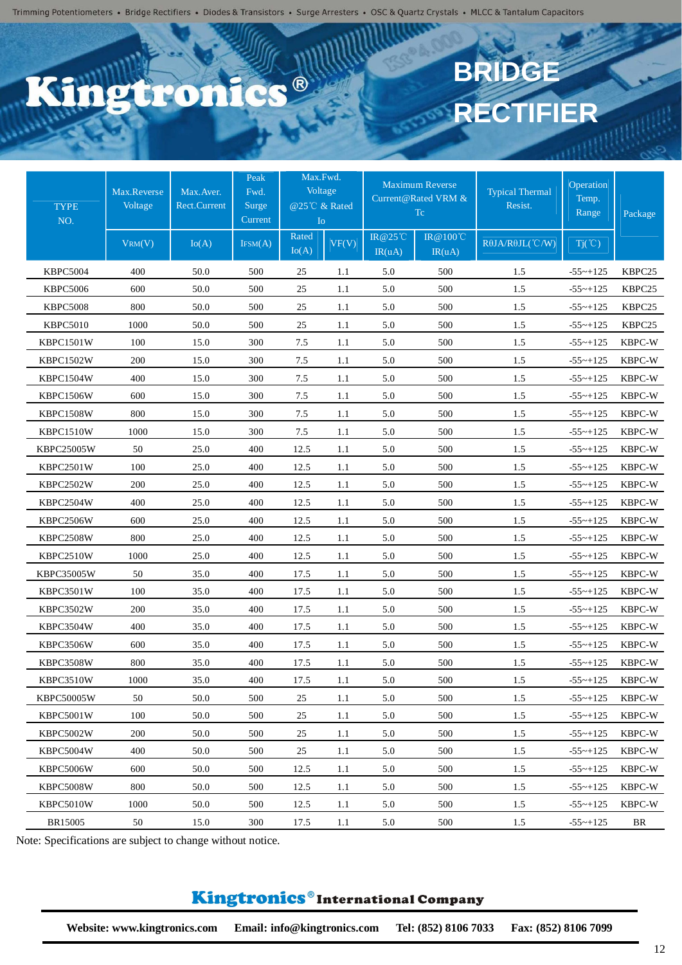### C.C.® **PEPO**

# **BRIDGE RECTIFIER**

| <b>TYPE</b><br>NO. | Max.Reverse<br>Voltage | Max. Aver.<br><b>Rect.Current</b> | Peak<br>Fwd.<br>Surge<br>Current | Max.Fwd.<br>Voltage<br>@25℃ & Rated<br>I <sub>O</sub> |       |                   | <b>Maximum Reverse</b><br>Current@Rated VRM &<br>Tc | <b>Typical Thermal</b><br>Resist. | Operation<br>Temp.<br>Range | Package            |
|--------------------|------------------------|-----------------------------------|----------------------------------|-------------------------------------------------------|-------|-------------------|-----------------------------------------------------|-----------------------------------|-----------------------------|--------------------|
|                    | VRM(V)                 | Io(A)                             | IFSM(A)                          | Rated<br>Io(A)                                        | VF(V) | IR@25°C<br>IR(uA) | IR@100℃<br>IR(uA)                                   | $R\theta$ JA/R $\theta$ JL(°C/W)  | $Tj(\degree C)$             |                    |
| <b>KBPC5004</b>    | 400                    | 50.0                              | 500                              | 25                                                    | 1.1   | 5.0               | 500                                                 | 1.5                               | $-55$ ~+125                 | KBPC25             |
| <b>KBPC5006</b>    | 600                    | 50.0                              | 500                              | 25                                                    | 1.1   | 5.0               | 500                                                 | 1.5                               | $-55$ ~+125                 | KBPC25             |
| <b>KBPC5008</b>    | 800                    | 50.0                              | 500                              | 25                                                    | 1.1   | 5.0               | 500                                                 | 1.5                               | $-55$ ~+125                 | KBPC <sub>25</sub> |
| <b>KBPC5010</b>    | 1000                   | 50.0                              | 500                              | 25                                                    | 1.1   | 5.0               | 500                                                 | 1.5                               | $-55$ ~+125                 | KBPC25             |
| KBPC1501W          | 100                    | 15.0                              | 300                              | 7.5                                                   | 1.1   | 5.0               | 500                                                 | 1.5                               | $-55$ ~+125                 | KBPC-W             |
| KBPC1502W          | 200                    | 15.0                              | 300                              | 7.5                                                   | 1.1   | 5.0               | 500                                                 | 1.5                               | $-55$ ~ $+125$              | KBPC-W             |
| KBPC1504W          | 400                    | 15.0                              | 300                              | 7.5                                                   | 1.1   | 5.0               | 500                                                 | 1.5                               | $-55$ ~+125                 | KBPC-W             |
| KBPC1506W          | 600                    | 15.0                              | 300                              | 7.5                                                   | 1.1   | 5.0               | 500                                                 | 1.5                               | $-55$ ~+125                 | KBPC-W             |
| KBPC1508W          | 800                    | 15.0                              | 300                              | 7.5                                                   | 1.1   | 5.0               | 500                                                 | 1.5                               | $-55$ ~ $+125$              | KBPC-W             |
| KBPC1510W          | 1000                   | 15.0                              | 300                              | 7.5                                                   | 1.1   | 5.0               | 500                                                 | 1.5                               | $-55$ ~ $+125$              | KBPC-W             |
| <b>KBPC25005W</b>  | 50                     | 25.0                              | 400                              | 12.5                                                  | 1.1   | 5.0               | 500                                                 | 1.5                               | $-55$ ~+125                 | KBPC-W             |
| KBPC2501W          | 100                    | 25.0                              | 400                              | 12.5                                                  | 1.1   | 5.0               | 500                                                 | 1.5                               | $-55$ ~+125                 | KBPC-W             |
| KBPC2502W          | 200                    | 25.0                              | 400                              | 12.5                                                  | 1.1   | 5.0               | 500                                                 | 1.5                               | $-55 - +125$                | KBPC-W             |
| KBPC2504W          | 400                    | 25.0                              | 400                              | 12.5                                                  | 1.1   | 5.0               | 500                                                 | 1.5                               | $-55$ ~ $+125$              | KBPC-W             |
| KBPC2506W          | 600                    | 25.0                              | 400                              | 12.5                                                  | 1.1   | 5.0               | 500                                                 | 1.5                               | $-55$ ~ $+125$              | KBPC-W             |
| KBPC2508W          | 800                    | 25.0                              | 400                              | 12.5                                                  | 1.1   | 5.0               | 500                                                 | 1.5                               | $-55$ ~ $+125$              | KBPC-W             |
| KBPC2510W          | 1000                   | 25.0                              | 400                              | 12.5                                                  | 1.1   | 5.0               | 500                                                 | 1.5                               | $-55$ ~+125                 | KBPC-W             |
| <b>KBPC35005W</b>  | 50                     | 35.0                              | 400                              | 17.5                                                  | 1.1   | 5.0               | 500                                                 | 1.5                               | $-55$ ~+125                 | KBPC-W             |
| KBPC3501W          | 100                    | 35.0                              | 400                              | 17.5                                                  | 1.1   | 5.0               | 500                                                 | 1.5                               | $-55$ ~+125                 | KBPC-W             |
| KBPC3502W          | 200                    | 35.0                              | 400                              | 17.5                                                  | 1.1   | 5.0               | 500                                                 | 1.5                               | $-55$ ~+125                 | KBPC-W             |
| KBPC3504W          | 400                    | 35.0                              | 400                              | 17.5                                                  | 1.1   | 5.0               | 500                                                 | 1.5                               | $-55$ ~ $+125$              | KBPC-W             |
| KBPC3506W          | 600                    | 35.0                              | 400                              | 17.5                                                  | 1.1   | 5.0               | 500                                                 | 1.5                               | $-55$ ~+125                 | KBPC-W             |
| KBPC3508W          | 800                    | 35.0                              | 400                              | 17.5                                                  | 1.1   | 5.0               | 500                                                 | 1.5                               | $-55$ ~+125                 | KBPC-W             |
| KBPC3510W          | 1000                   | 35.0                              | 400                              | 17.5                                                  | 1.1   | 5.0               | 500                                                 | 1.5                               | $-55$ ~+125                 | KBPC-W             |
| <b>KBPC50005W</b>  | 50                     | 50.0                              | 500                              | 25                                                    | 1.1   | 5.0               | 500                                                 | 1.5                               | $-55$ ~+125                 | KBPC-W             |
| KBPC5001W          | 100                    | 50.0                              | 500                              | 25                                                    | 1.1   | 5.0               | 500                                                 | 1.5                               | $-55$ ~+125                 | KBPC-W             |
| KBPC5002W          | 200                    | 50.0                              | 500                              | 25                                                    | 1.1   | 5.0               | 500                                                 | 1.5                               | $-55$ ~+125                 | KBPC-W             |
| KBPC5004W          | 400                    | 50.0                              | 500                              | 25                                                    | 1.1   | 5.0               | 500                                                 | 1.5                               | $-55$ ~+125                 | KBPC-W             |
| KBPC5006W          | 600                    | 50.0                              | 500                              | 12.5                                                  | 1.1   | 5.0               | 500                                                 | 1.5                               | $-55$ ~ $+125$              | KBPC-W             |
| KBPC5008W          | 800                    | 50.0                              | 500                              | 12.5                                                  | 1.1   | 5.0               | 500                                                 | 1.5                               | $-55$ ~ $+125$              | KBPC-W             |
| KBPC5010W          | 1000                   | 50.0                              | 500                              | 12.5                                                  | 1.1   | 5.0               | 500                                                 | 1.5                               | $-55$ ~+125                 | KBPC-W             |
| BR15005            | 50                     | 15.0                              | 300                              | 17.5                                                  | 1.1   | 5.0               | 500                                                 | 1.5                               | $-55$ ~+125                 | BR                 |

Note: Specifications are subject to change without notice.

#### Kingtronics®International Company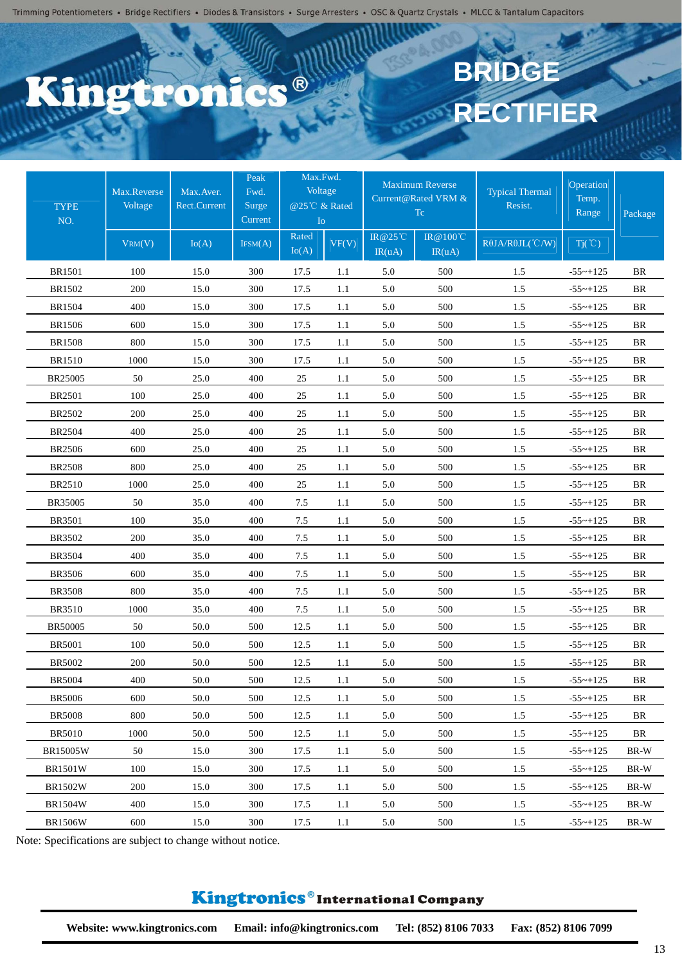## C.C.R **Piro**

# **BRIDGE RECTIFIER**

| <b>TYPE</b><br>NO. | Max.Reverse<br>Voltage | Max. Aver.<br>Rect.Current | Max.Fwd.<br>Peak<br>Voltage<br>Fwd.<br>@25℃ & Rated<br>Surge<br>Current<br>I <sub>o</sub> |                |       | <b>Maximum Reverse</b><br>Current@Rated VRM &<br>Tc. | <b>Typical Thermal</b><br>Resist. | Operation<br>Temp.<br>Range      | Package         |           |
|--------------------|------------------------|----------------------------|-------------------------------------------------------------------------------------------|----------------|-------|------------------------------------------------------|-----------------------------------|----------------------------------|-----------------|-----------|
|                    | VRM(V)                 | Io(A)                      | IFSM(A)                                                                                   | Rated<br>Io(A) | VF(V) | IR@25°C<br>IR(uA)                                    | IR@100℃<br>IR(uA)                 | $R\theta$ JA/R $\theta$ JL(°C/W) | $Tj(\degree C)$ |           |
| <b>BR1501</b>      | 100                    | 15.0                       | 300                                                                                       | 17.5           | 1.1   | 5.0                                                  | 500                               | 1.5                              | $-55$ ~ $+125$  | <b>BR</b> |
| BR1502             | 200                    | 15.0                       | 300                                                                                       | 17.5           | 1.1   | 5.0                                                  | 500                               | 1.5                              | $-55$ ~+125     | BR        |
| <b>BR1504</b>      | 400                    | 15.0                       | 300                                                                                       | 17.5           | 1.1   | 5.0                                                  | 500                               | 1.5                              | $-55$ ~ $+125$  | <b>BR</b> |
| <b>BR1506</b>      | 600                    | 15.0                       | 300                                                                                       | 17.5           | 1.1   | 5.0                                                  | 500                               | 1.5                              | $-55$ ~+125     | BR        |
| <b>BR1508</b>      | 800                    | 15.0                       | 300                                                                                       | 17.5           | 1.1   | 5.0                                                  | 500                               | 1.5                              | $-55$ ~+125     | <b>BR</b> |
| <b>BR1510</b>      | 1000                   | 15.0                       | 300                                                                                       | 17.5           | 1.1   | 5.0                                                  | 500                               | $1.5$                            | $-55$ ~ $+125$  | BR        |
| BR25005            | 50                     | 25.0                       | 400                                                                                       | 25             | 1.1   | 5.0                                                  | 500                               | 1.5                              | $-55$ ~ $+125$  | <b>BR</b> |
| <b>BR2501</b>      | 100                    | 25.0                       | 400                                                                                       | 25             | 1.1   | 5.0                                                  | 500                               | 1.5                              | $-55$ ~ $+125$  | BR        |
| <b>BR2502</b>      | 200                    | 25.0                       | 400                                                                                       | 25             | 1.1   | 5.0                                                  | 500                               | 1.5                              | $-55$ ~ $+125$  | <b>BR</b> |
| <b>BR2504</b>      | 400                    | 25.0                       | 400                                                                                       | 25             | 1.1   | 5.0                                                  | 500                               | 1.5                              | $-55$ ~+125     | BR        |
| <b>BR2506</b>      | 600                    | 25.0                       | 400                                                                                       | 25             | 1.1   | 5.0                                                  | 500                               | 1.5                              | $-55$ ~+125     | BR        |
| <b>BR2508</b>      | 800                    | 25.0                       | 400                                                                                       | 25             | 1.1   | 5.0                                                  | 500                               | 1.5                              | $-55$ ~+125     | <b>BR</b> |
| <b>BR2510</b>      | 1000                   | 25.0                       | 400                                                                                       | 25             | 1.1   | 5.0                                                  | 500                               | 1.5                              | $-55 \sim +125$ | BR        |
| BR35005            | 50                     | 35.0                       | 400                                                                                       | 7.5            | 1.1   | 5.0                                                  | 500                               | $1.5$                            | $-55$ ~ $+125$  | BR        |
| <b>BR3501</b>      | 100                    | 35.0                       | 400                                                                                       | 7.5            | 1.1   | 5.0                                                  | 500                               | 1.5                              | $-55$ ~ $+125$  | <b>BR</b> |
| <b>BR3502</b>      | 200                    | 35.0                       | 400                                                                                       | 7.5            | 1.1   | 5.0                                                  | 500                               | 1.5                              | $-55$ ~ $+125$  | BR        |
| <b>BR3504</b>      | 400                    | 35.0                       | 400                                                                                       | 7.5            | 1.1   | 5.0                                                  | 500                               | 1.5                              | $-55$ ~+125     | <b>BR</b> |
| <b>BR3506</b>      | 600                    | 35.0                       | 400                                                                                       | 7.5            | 1.1   | 5.0                                                  | 500                               | $1.5$                            | $-55$ ~+125     | BR        |
| <b>BR3508</b>      | 800                    | 35.0                       | 400                                                                                       | 7.5            | 1.1   | 5.0                                                  | 500                               | 1.5                              | $-55$ ~ $+125$  | BR        |
| <b>BR3510</b>      | 1000                   | 35.0                       | 400                                                                                       | 7.5            | 1.1   | 5.0                                                  | 500                               | 1.5                              | $-55$ ~+125     | BR        |
| BR50005            | 50                     | 50.0                       | 500                                                                                       | 12.5           | 1.1   | 5.0                                                  | 500                               | 1.5                              | $-55$ ~+125     | BR        |
| <b>BR5001</b>      | 100                    | 50.0                       | 500                                                                                       | 12.5           | 1.1   | 5.0                                                  | 500                               | 1.5                              | $-55$ ~+125     | BR        |
| <b>BR5002</b>      | 200                    | 50.0                       | 500                                                                                       | 12.5           | 1.1   | 5.0                                                  | 500                               | 1.5                              | $-55 - +125$    | BR        |
| <b>BR5004</b>      | 400                    | 50.0                       | 500                                                                                       | 12.5           | 1.1   | 5.0                                                  | 500                               | 1.5                              | $-55$ ~+125     | BR        |
| <b>BR5006</b>      | 600                    | 50.0                       | 500                                                                                       | 12.5           | 1.1   | 5.0                                                  | 500                               | 1.5                              | $-55 - +125$    | BR        |
| <b>BR5008</b>      | 800                    | 50.0                       | 500                                                                                       | 12.5           | 1.1   | 5.0                                                  | 500                               | 1.5                              | $-55$ ~ $+125$  | BR        |
| <b>BR5010</b>      | 1000                   | 50.0                       | 500                                                                                       | 12.5           | 1.1   | 5.0                                                  | 500                               | 1.5                              | $-55$ ~ $+125$  | BR        |
| <b>BR15005W</b>    | 50                     | 15.0                       | 300                                                                                       | 17.5           | 1.1   | 5.0                                                  | 500                               | 1.5                              | $-55$ ~+125     | BR-W      |
| <b>BR1501W</b>     | 100                    | 15.0                       | 300                                                                                       | 17.5           | 1.1   | 5.0                                                  | 500                               | 1.5                              | $-55$ ~ $+125$  | BR-W      |
| <b>BR1502W</b>     | 200                    | 15.0                       | 300                                                                                       | 17.5           | 1.1   | 5.0                                                  | 500                               | 1.5                              | $-55$ ~ $+125$  | BR-W      |
| <b>BR1504W</b>     | 400                    | 15.0                       | 300                                                                                       | 17.5           | 1.1   | 5.0                                                  | 500                               | 1.5                              | $-55$ ~ $+125$  | BR-W      |
| <b>BR1506W</b>     | 600                    | 15.0                       | 300                                                                                       | 17.5           | 1.1   | 5.0                                                  | 500                               | 1.5                              | $-55$ ~+125     | BR-W      |

Note: Specifications are subject to change without notice.

#### Kingtronics®International Company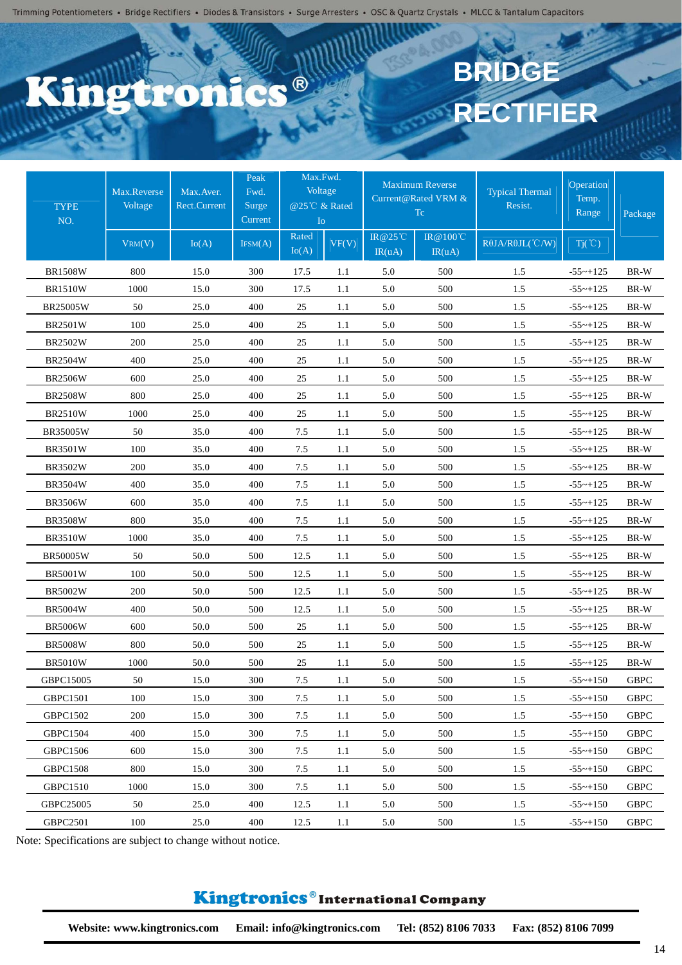## C.C.R **Ptro**

# **BRIDGE RECTIFIER**

| <b>TYPE</b><br>NO. | Max.Reverse<br>Voltage | Max. Aver.<br>Rect.Current | Peak<br>Fwd.<br>Surge<br>Current | Max.Fwd.<br>Voltage<br>@25℃ & Rated<br>I <sub>o</sub> |         |                          | <b>Maximum Reverse</b><br>Current@Rated VRM &<br>Tc. | <b>Typical Thermal</b><br>Resist. | Operation<br>Temp.<br>Range | Package     |
|--------------------|------------------------|----------------------------|----------------------------------|-------------------------------------------------------|---------|--------------------------|------------------------------------------------------|-----------------------------------|-----------------------------|-------------|
|                    | VRM(V)                 | Io(A)                      | IFSM(A)                          | Rated<br>Io(A)                                        | VF(V)   | <b>IR@25°C</b><br>IR(uA) | IR@100℃<br>IR(uA)                                    | $R\theta$ JA/ $R\theta$ JL(°C/W)  | $Tj(\degree C)$             |             |
| <b>BR1508W</b>     | 800                    | 15.0                       | 300                              | 17.5                                                  | 1.1     | 5.0                      | 500                                                  | 1.5                               | $-55$ ~ $+125$              | BR-W        |
| <b>BR1510W</b>     | 1000                   | 15.0                       | 300                              | 17.5                                                  | 1.1     | 5.0                      | 500                                                  | 1.5                               | $-55$ ~ $+125$              | BR-W        |
| BR25005W           | 50                     | 25.0                       | 400                              | 25                                                    | 1.1     | 5.0                      | 500                                                  | 1.5                               | $-55$ ~+125                 | BR-W        |
| <b>BR2501W</b>     | 100                    | 25.0                       | 400                              | 25                                                    | 1.1     | 5.0                      | 500                                                  | 1.5                               | $-55$ ~ $+125$              | BR-W        |
| <b>BR2502W</b>     | 200                    | 25.0                       | 400                              | 25                                                    | 1.1     | 5.0                      | 500                                                  | 1.5                               | $-55$ ~ $+125$              | BR-W        |
| <b>BR2504W</b>     | 400                    | 25.0                       | 400                              | 25                                                    | 1.1     | 5.0                      | 500                                                  | 1.5                               | $-55$ ~ $+125$              | BR-W        |
| <b>BR2506W</b>     | 600                    | 25.0                       | 400                              | 25                                                    | 1.1     | 5.0                      | 500                                                  | 1.5                               | $-55$ ~ $+125$              | BR-W        |
| <b>BR2508W</b>     | 800                    | 25.0                       | 400                              | 25                                                    | 1.1     | 5.0                      | 500                                                  | 1.5                               | $-55$ ~+125                 | BR-W        |
| <b>BR2510W</b>     | 1000                   | 25.0                       | 400                              | 25                                                    | 1.1     | 5.0                      | 500                                                  | 1.5                               | $-55$ ~+125                 | BR-W        |
| BR35005W           | 50                     | 35.0                       | 400                              | 7.5                                                   | 1.1     | 5.0                      | 500                                                  | 1.5                               | $-55$ ~ $+125$              | BR-W        |
| <b>BR3501W</b>     | 100                    | 35.0                       | 400                              | 7.5                                                   | 1.1     | 5.0                      | 500                                                  | 1.5                               | $-55$ ~ $+125$              | BR-W        |
| <b>BR3502W</b>     | 200                    | 35.0                       | 400                              | 7.5                                                   | 1.1     | 5.0                      | 500                                                  | 1.5                               | $-55$ ~ $+125$              | BR-W        |
| <b>BR3504W</b>     | 400                    | 35.0                       | 400                              | 7.5                                                   | 1.1     | 5.0                      | 500                                                  | 1.5                               | $-55$ ~+125                 | BR-W        |
| <b>BR3506W</b>     | 600                    | 35.0                       | 400                              | 7.5                                                   | 1.1     | 5.0                      | 500                                                  | 1.5                               | $-55$ ~ $+125$              | BR-W        |
| <b>BR3508W</b>     | 800                    | 35.0                       | 400                              | 7.5                                                   | 1.1     | 5.0                      | 500                                                  | 1.5                               | $-55$ ~+125                 | BR-W        |
| <b>BR3510W</b>     | 1000                   | 35.0                       | 400                              | 7.5                                                   | 1.1     | 5.0                      | 500                                                  | 1.5                               | $-55$ ~ $+125$              | BR-W        |
| <b>BR50005W</b>    | 50                     | 50.0                       | 500                              | 12.5                                                  | 1.1     | 5.0                      | 500                                                  | 1.5                               | $-55$ ~ $+125$              | BR-W        |
| <b>BR5001W</b>     | 100                    | 50.0                       | 500                              | 12.5                                                  | 1.1     | 5.0                      | 500                                                  | 1.5                               | $-55$ ~ $+125$              | BR-W        |
| <b>BR5002W</b>     | 200                    | 50.0                       | 500                              | 12.5                                                  | 1.1     | 5.0                      | 500                                                  | 1.5                               | $-55$ ~ $+125$              | BR-W        |
| <b>BR5004W</b>     | 400                    | 50.0                       | 500                              | 12.5                                                  | 1.1     | 5.0                      | 500                                                  | 1.5                               | $-55$ ~+125                 | BR-W        |
| <b>BR5006W</b>     | 600                    | 50.0                       | 500                              | 25                                                    | 1.1     | 5.0                      | 500                                                  | 1.5                               | $-55$ ~ $+125$              | BR-W        |
| <b>BR5008W</b>     | 800                    | 50.0                       | 500                              | 25                                                    | 1.1     | 5.0                      | 500                                                  | 1.5                               | $-55$ ~ $+125$              | BR-W        |
| <b>BR5010W</b>     | 1000                   | 50.0                       | 500                              | 25                                                    | 1.1     | 5.0                      | 500                                                  | 1.5                               | $-55$ ~ $+125$              | BR-W        |
| GBPC15005          | 50                     | 15.0                       | 300                              | 7.5                                                   | 1.1     | 5.0                      | 500                                                  | 1.5                               | $-55$ ~+150                 | <b>GBPC</b> |
| <b>GBPC1501</b>    | 100                    | 15.0                       | 300                              | 7.5                                                   | $1.1\,$ | 5.0                      | 500                                                  | 1.5                               | $-55 - +150$                | <b>GBPC</b> |
| GBPC1502           | 200                    | 15.0                       | 300                              | 7.5                                                   | 1.1     | 5.0                      | 500                                                  | $1.5\,$                           | $-55 - +150$                | <b>GBPC</b> |
| <b>GBPC1504</b>    | 400                    | 15.0                       | 300                              | 7.5                                                   | 1.1     | 5.0                      | 500                                                  | 1.5                               | $-55$ ~+150                 | <b>GBPC</b> |
| <b>GBPC1506</b>    | 600                    | 15.0                       | 300                              | 7.5                                                   | 1.1     | 5.0                      | 500                                                  | 1.5                               | $-55$ ~+150                 | <b>GBPC</b> |
| <b>GBPC1508</b>    | 800                    | 15.0                       | 300                              | 7.5                                                   | 1.1     | 5.0                      | 500                                                  | 1.5                               | $-55$ ~+150                 | <b>GBPC</b> |
| <b>GBPC1510</b>    | 1000                   | 15.0                       | 300                              | 7.5                                                   | 1.1     | 5.0                      | 500                                                  | 1.5                               | $-55$ ~+150                 | <b>GBPC</b> |
| GBPC25005          | 50                     | 25.0                       | 400                              | 12.5                                                  | 1.1     | 5.0                      | 500                                                  | 1.5                               | $-55$ ~+150                 | <b>GBPC</b> |
| <b>GBPC2501</b>    | 100                    | 25.0                       | 400                              | 12.5                                                  | 1.1     | 5.0                      | 500                                                  | 1.5                               | $-55 - +150$                | <b>GBPC</b> |

Note: Specifications are subject to change without notice.

#### Kingtronics®International Company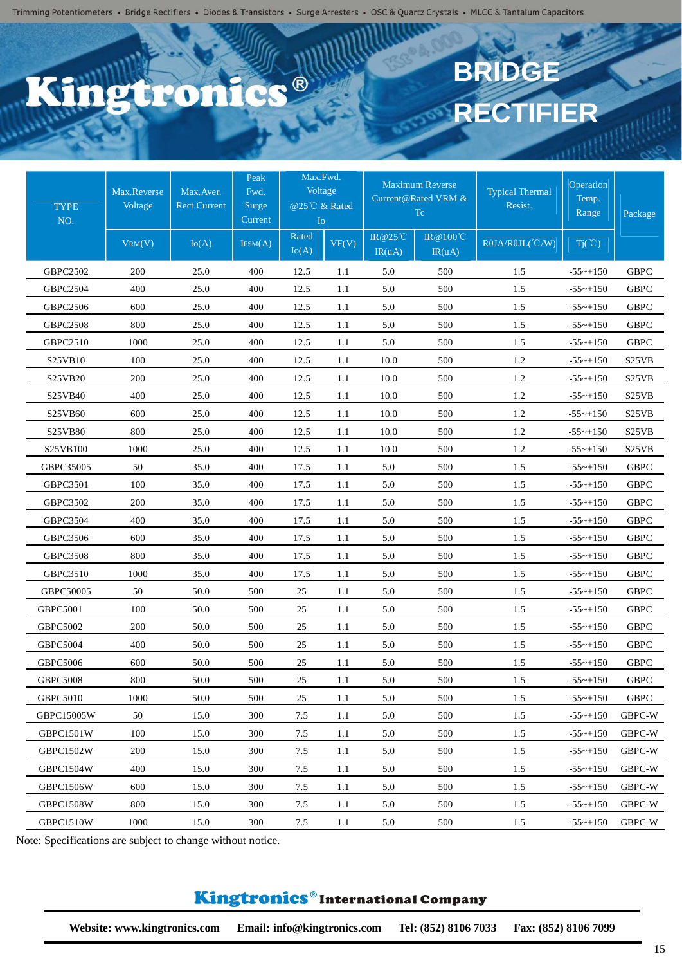## C.C.R **Piro**

# **BRIDGE RECTIFIER**

| <b>TYPE</b><br>NO. | Max.Reverse<br>Voltage | Max. Aver.<br>Rect.Current | Peak<br>Fwd.<br>Surge<br>Current | Max.Fwd.<br>Voltage<br>@25℃ & Rated<br>I <sub>O</sub> |       |                   | <b>Maximum Reverse</b><br>Current@Rated VRM &<br>Tc | <b>Typical Thermal</b><br>Resist. | Operation<br>Temp.<br>Range | Package                        |
|--------------------|------------------------|----------------------------|----------------------------------|-------------------------------------------------------|-------|-------------------|-----------------------------------------------------|-----------------------------------|-----------------------------|--------------------------------|
|                    | VRM(V)                 | Io(A)                      | IFSM(A)                          | Rated<br>Io(A)                                        | VF(V) | IR@25°C<br>IR(uA) | IR@100℃<br>IR(uA)                                   | ROJA/ROJL(°C/W)                   | $Tj(\degree C)$             |                                |
| GBPC2502           | 200                    | 25.0                       | 400                              | 12.5                                                  | 1.1   | 5.0               | 500                                                 | 1.5                               | $-55$ ~+150                 | <b>GBPC</b>                    |
| <b>GBPC2504</b>    | 400                    | 25.0                       | 400                              | 12.5                                                  | 1.1   | 5.0               | 500                                                 | 1.5                               | $-55$ ~+150                 | <b>GBPC</b>                    |
| GBPC2506           | 600                    | 25.0                       | 400                              | 12.5                                                  | 1.1   | 5.0               | 500                                                 | 1.5                               | $-55$ ~+150                 | <b>GBPC</b>                    |
| <b>GBPC2508</b>    | 800                    | 25.0                       | 400                              | 12.5                                                  | 1.1   | 5.0               | 500                                                 | 1.5                               | $-55$ ~+150                 | <b>GBPC</b>                    |
| GBPC2510           | 1000                   | 25.0                       | 400                              | 12.5                                                  | 1.1   | 5.0               | 500                                                 | 1.5                               | $-55$ ~+150                 | <b>GBPC</b>                    |
| S25VB10            | 100                    | 25.0                       | 400                              | 12.5                                                  | 1.1   | 10.0              | 500                                                 | 1.2                               | $-55$ ~+150                 | S <sub>25</sub> V <sub>B</sub> |
| S25VB20            | 200                    | 25.0                       | 400                              | 12.5                                                  | 1.1   | 10.0              | 500                                                 | 1.2                               | $-55$ ~+150                 | S <sub>25</sub> VB             |
| S25VB40            | 400                    | 25.0                       | 400                              | 12.5                                                  | 1.1   | 10.0              | 500                                                 | 1.2                               | $-55$ ~+150                 | S <sub>25</sub> V <sub>B</sub> |
| S25VB60            | 600                    | 25.0                       | 400                              | 12.5                                                  | 1.1   | 10.0              | 500                                                 | $1.2\,$                           | $-55$ ~ $+150$              | S <sub>25</sub> V <sub>B</sub> |
| S25VB80            | 800                    | 25.0                       | 400                              | 12.5                                                  | 1.1   | 10.0              | 500                                                 | 1.2                               | $-55$ ~+150                 | S <sub>25</sub> VB             |
| S25VB100           | 1000                   | 25.0                       | 400                              | 12.5                                                  | 1.1   | 10.0              | 500                                                 | 1.2                               | $-55$ ~+150                 | S <sub>25</sub> V <sub>B</sub> |
| GBPC35005          | 50                     | 35.0                       | 400                              | 17.5                                                  | 1.1   | 5.0               | 500                                                 | 1.5                               | $-55$ ~+150                 | <b>GBPC</b>                    |
| <b>GBPC3501</b>    | 100                    | 35.0                       | 400                              | 17.5                                                  | 1.1   | 5.0               | 500                                                 | 1.5                               | $-55$ ~+150                 | <b>GBPC</b>                    |
| GBPC3502           | 200                    | 35.0                       | 400                              | 17.5                                                  | 1.1   | 5.0               | 500                                                 | 1.5                               | $-55$ ~+150                 | <b>GBPC</b>                    |
| GBPC3504           | 400                    | 35.0                       | 400                              | 17.5                                                  | 1.1   | 5.0               | 500                                                 | 1.5                               | $-55$ ~+150                 | <b>GBPC</b>                    |
| GBPC3506           | 600                    | 35.0                       | 400                              | 17.5                                                  | 1.1   | 5.0               | 500                                                 | 1.5                               | $-55$ ~+150                 | <b>GBPC</b>                    |
| <b>GBPC3508</b>    | 800                    | 35.0                       | 400                              | 17.5                                                  | 1.1   | 5.0               | 500                                                 | 1.5                               | $-55$ ~+150                 | <b>GBPC</b>                    |
| GBPC3510           | 1000                   | 35.0                       | 400                              | 17.5                                                  | 1.1   | 5.0               | 500                                                 | 1.5                               | $-55$ ~+150                 | <b>GBPC</b>                    |
| GBPC50005          | 50                     | 50.0                       | 500                              | 25                                                    | 1.1   | 5.0               | 500                                                 | 1.5                               | $-55$ ~+150                 | <b>GBPC</b>                    |
| <b>GBPC5001</b>    | 100                    | 50.0                       | 500                              | 25                                                    | 1.1   | 5.0               | 500                                                 | 1.5                               | $-55$ ~+150                 | <b>GBPC</b>                    |
| <b>GBPC5002</b>    | 200                    | 50.0                       | 500                              | 25                                                    | 1.1   | 5.0               | 500                                                 | 1.5                               | $-55$ ~+150                 | <b>GBPC</b>                    |
| <b>GBPC5004</b>    | 400                    | 50.0                       | 500                              | 25                                                    | 1.1   | 5.0               | 500                                                 | 1.5                               | $-55$ ~+150                 | <b>GBPC</b>                    |
| <b>GBPC5006</b>    | 600                    | 50.0                       | 500                              | 25                                                    | 1.1   | 5.0               | 500                                                 | 1.5                               | $-55$ ~+150                 | <b>GBPC</b>                    |
| <b>GBPC5008</b>    | 800                    | 50.0                       | 500                              | 25                                                    | 1.1   | 5.0               | 500                                                 | 1.5                               | $-55$ ~+150                 | <b>GBPC</b>                    |
| <b>GBPC5010</b>    | 1000                   | 50.0                       | 500                              | 25                                                    | 1.1   | 5.0               | 500                                                 | 1.5                               | $-55$ ~+150                 | GBPC                           |
| GBPC15005W         | 50                     | 15.0                       | 300                              | 7.5                                                   | 1.1   | 5.0               | 500                                                 | 1.5                               | $-55$ ~+150                 | GBPC-W                         |
| GBPC1501W          | 100                    | 15.0                       | 300                              | 7.5                                                   | 1.1   | 5.0               | 500                                                 | 1.5                               | $-55$ ~+150                 | GBPC-W                         |
| GBPC1502W          | 200                    | 15.0                       | 300                              | 7.5                                                   | 1.1   | 5.0               | 500                                                 | 1.5                               | $-55$ ~+150                 | GBPC-W                         |
| GBPC1504W          | 400                    | 15.0                       | 300                              | 7.5                                                   | 1.1   | 5.0               | 500                                                 | 1.5                               | $-55$ ~+150                 | GBPC-W                         |
| <b>GBPC1506W</b>   | 600                    | 15.0                       | 300                              | 7.5                                                   | 1.1   | 5.0               | 500                                                 | 1.5                               | $-55$ ~+150                 | GBPC-W                         |
| <b>GBPC1508W</b>   | 800                    | 15.0                       | 300                              | 7.5                                                   | 1.1   | 5.0               | 500                                                 | 1.5                               | $-55$ ~+150                 | GBPC-W                         |
| GBPC1510W          | 1000                   | 15.0                       | 300                              | 7.5                                                   | 1.1   | 5.0               | 500                                                 | 1.5                               | $-55$ ~+150                 | GBPC-W                         |

Note: Specifications are subject to change without notice.

#### Kingtronics®International Company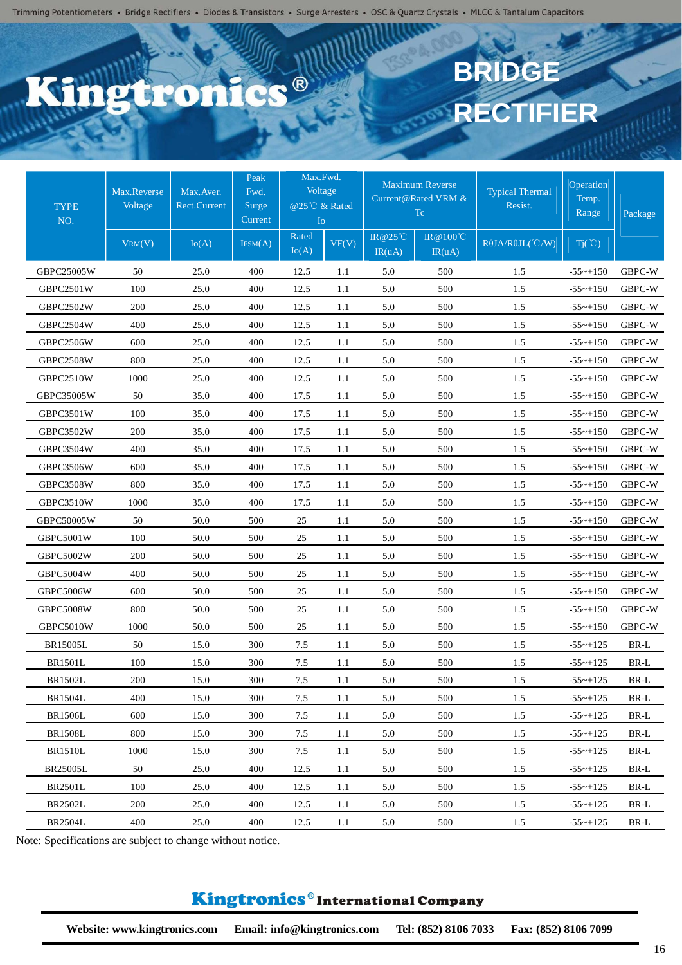## C.S.® **Ptro**

# **BRIDGE RECTIFIER**

| <b>TYPE</b><br>NO. | Max.Reverse<br>Voltage | Max. Aver.<br><b>Rect.Current</b> | Max.Fwd.<br>Peak<br>Voltage<br>Fwd.<br>@25℃ & Rated<br>Surge<br>Current<br>I <sub>O</sub> |                | <b>Maximum Reverse</b><br>Current@Rated VRM &<br>Tc |                   |                   | Typical Thermal<br>Resist.       | Operation<br>Temp.<br>Range | Package               |
|--------------------|------------------------|-----------------------------------|-------------------------------------------------------------------------------------------|----------------|-----------------------------------------------------|-------------------|-------------------|----------------------------------|-----------------------------|-----------------------|
|                    | VRM(V)                 | Io(A)                             | IFSM(A)                                                                                   | Rated<br>Io(A) | VF(V)                                               | IR@25°C<br>IR(uA) | IR@100℃<br>IR(uA) | $R\theta$ JA/R $\theta$ JL(°C/W) | $Tj(\degree C)$             |                       |
| GBPC25005W         | 50                     | 25.0                              | 400                                                                                       | 12.5           | 1.1                                                 | 5.0               | 500               | 1.5                              | $-55$ ~+150                 | GBPC-W                |
| <b>GBPC2501W</b>   | 100                    | 25.0                              | 400                                                                                       | 12.5           | 1.1                                                 | 5.0               | 500               | 1.5                              | $-55$ ~+150                 | GBPC-W                |
| GBPC2502W          | 200                    | 25.0                              | 400                                                                                       | 12.5           | 1.1                                                 | 5.0               | 500               | 1.5                              | $-55$ ~+150                 | GBPC-W                |
| GBPC2504W          | 400                    | 25.0                              | 400                                                                                       | 12.5           | 1.1                                                 | 5.0               | 500               | 1.5                              | $-55$ ~+150                 | GBPC-W                |
| GBPC2506W          | 600                    | 25.0                              | 400                                                                                       | 12.5           | 1.1                                                 | 5.0               | 500               | 1.5                              | $-55$ ~+150                 | GBPC-W                |
| GBPC2508W          | 800                    | 25.0                              | 400                                                                                       | 12.5           | 1.1                                                 | 5.0               | 500               | 1.5                              | $-55$ ~+150                 | GBPC-W                |
| GBPC2510W          | 1000                   | 25.0                              | 400                                                                                       | 12.5           | 1.1                                                 | 5.0               | 500               | 1.5                              | $-55$ ~+150                 | GBPC-W                |
| GBPC35005W         | 50                     | 35.0                              | 400                                                                                       | 17.5           | 1.1                                                 | 5.0               | 500               | 1.5                              | $-55$ ~+150                 | GBPC-W                |
| GBPC3501W          | 100                    | 35.0                              | 400                                                                                       | 17.5           | 1.1                                                 | 5.0               | 500               | 1.5                              | $-55$ ~+150                 | GBPC-W                |
| <b>GBPC3502W</b>   | 200                    | 35.0                              | 400                                                                                       | 17.5           | 1.1                                                 | 5.0               | 500               | 1.5                              | $-55$ ~+150                 | GBPC-W                |
| GBPC3504W          | 400                    | 35.0                              | 400                                                                                       | 17.5           | 1.1                                                 | 5.0               | 500               | 1.5                              | $-55$ ~+150                 | GBPC-W                |
| <b>GBPC3506W</b>   | 600                    | 35.0                              | 400                                                                                       | 17.5           | 1.1                                                 | 5.0               | 500               | 1.5                              | $-55$ ~+150                 | GBPC-W                |
| <b>GBPC3508W</b>   | 800                    | 35.0                              | 400                                                                                       | 17.5           | 1.1                                                 | 5.0               | 500               | 1.5                              | $-55$ ~+150                 | GBPC-W                |
| <b>GBPC3510W</b>   | 1000                   | 35.0                              | 400                                                                                       | 17.5           | 1.1                                                 | 5.0               | 500               | 1.5                              | $-55$ ~+150                 | GBPC-W                |
| GBPC50005W         | 50                     | 50.0                              | 500                                                                                       | 25             | 1.1                                                 | 5.0               | 500               | 1.5                              | $-55$ ~+150                 | GBPC-W                |
| GBPC5001W          | 100                    | 50.0                              | 500                                                                                       | 25             | 1.1                                                 | 5.0               | 500               | 1.5                              | $-55$ ~+150                 | GBPC-W                |
| GBPC5002W          | 200                    | 50.0                              | 500                                                                                       | 25             | 1.1                                                 | 5.0               | 500               | 1.5                              | $-55$ ~+150                 | GBPC-W                |
| GBPC5004W          | 400                    | 50.0                              | 500                                                                                       | 25             | 1.1                                                 | 5.0               | 500               | 1.5                              | $-55$ ~+150                 | GBPC-W                |
| <b>GBPC5006W</b>   | 600                    | 50.0                              | 500                                                                                       | 25             | 1.1                                                 | 5.0               | 500               | 1.5                              | $-55$ ~+150                 | GBPC-W                |
| GBPC5008W          | 800                    | 50.0                              | 500                                                                                       | 25             | 1.1                                                 | 5.0               | 500               | 1.5                              | $-55$ ~+150                 | GBPC-W                |
| GBPC5010W          | 1000                   | 50.0                              | 500                                                                                       | 25             | 1.1                                                 | 5.0               | 500               | 1.5                              | $-55$ ~+150                 | GBPC-W                |
| <b>BR15005L</b>    | 50                     | 15.0                              | 300                                                                                       | 7.5            | 1.1                                                 | 5.0               | 500               | 1.5                              | $-55$ ~+125                 | BR-L                  |
| <b>BR1501L</b>     | 100                    | 15.0                              | 300                                                                                       | 7.5            | 1.1                                                 | 5.0               | 500               | 1.5                              | $-55$ ~+125                 | BR-L                  |
| <b>BR1502L</b>     | 200                    | 15.0                              | 300                                                                                       | 7.5            | 1.1                                                 | 5.0               | 500               | 1.5                              | $-55 - +125$                | $\operatorname{BR-L}$ |
| <b>BR1504L</b>     | 400                    | 15.0                              | 300                                                                                       | 7.5            | 1.1                                                 | 5.0               | 500               | 1.5                              | $-55$ ~+125                 | BR-L                  |
| <b>BR1506L</b>     | 600                    | 15.0                              | 300                                                                                       | 7.5            | 1.1                                                 | 5.0               | 500               | $1.5$                            | $-55 \sim +125$             | BR-L                  |
| <b>BR1508L</b>     | 800                    | 15.0                              | 300                                                                                       | 7.5            | 1.1                                                 | 5.0               | 500               | 1.5                              | $-55$ ~+125                 | BR-L                  |
| <b>BR1510L</b>     | 1000                   | 15.0                              | 300                                                                                       | 7.5            | 1.1                                                 | 5.0               | 500               | 1.5                              | $-55$ ~+125                 | BR-L                  |
| BR25005L           | 50                     | 25.0                              | 400                                                                                       | 12.5           | 1.1                                                 | 5.0               | 500               | 1.5                              | $-55$ ~+125                 | BR-L                  |
| <b>BR2501L</b>     | 100                    | 25.0                              | 400                                                                                       | 12.5           | $1.1\,$                                             | 5.0               | 500               | 1.5                              | $-55$ ~+125                 | BR-L                  |
| <b>BR2502L</b>     | 200                    | 25.0                              | 400                                                                                       | 12.5           | 1.1                                                 | 5.0               | 500               | 1.5                              | $-55$ ~+125                 | BR-L                  |
| <b>BR2504L</b>     | 400                    | 25.0                              | 400                                                                                       | 12.5           | 1.1                                                 | 5.0               | 500               | 1.5                              | $-55 - +125$                | BR-L                  |

Note: Specifications are subject to change without notice.

### Kingtronics®International Company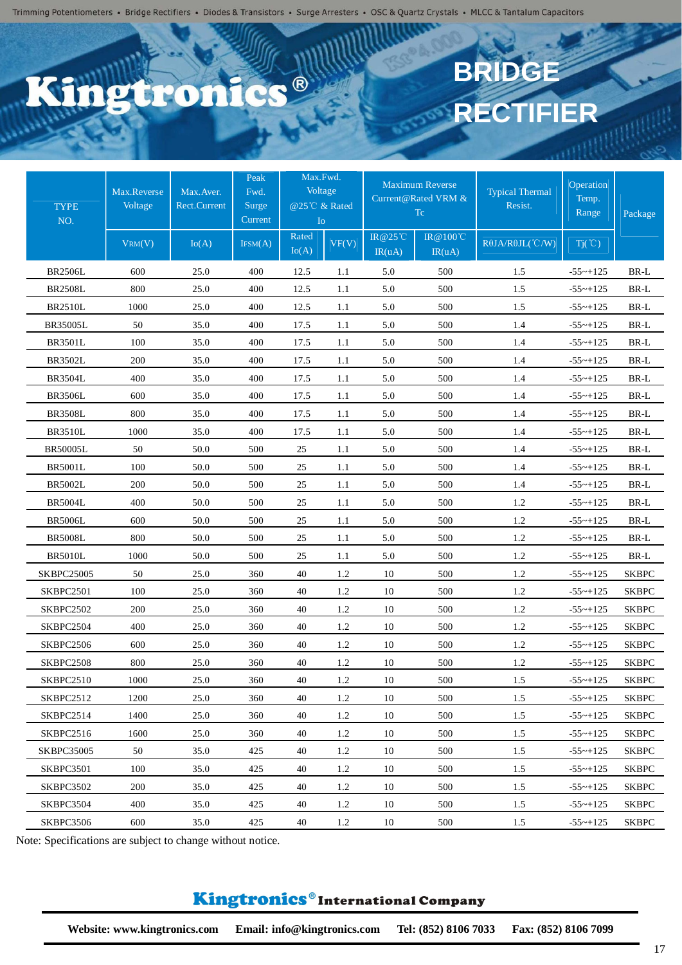## CS<sup>®</sup> etro

# **BRIDGE RECTIFIER**

| <b>TYPE</b><br>NO. | Max.Reverse<br>Voltage | Max. Aver.<br>Rect.Current | Peak<br>Fwd.<br>Surge<br>Current | Max.Fwd.<br>Voltage<br>@25℃ & Rated<br>I <sub>o</sub> |       |                   | <b>Maximum Reverse</b><br>Current@Rated VRM &<br>Tc | <b>Typical Thermal</b><br>Resist. | Operation<br>Temp.<br>Range | Package      |
|--------------------|------------------------|----------------------------|----------------------------------|-------------------------------------------------------|-------|-------------------|-----------------------------------------------------|-----------------------------------|-----------------------------|--------------|
|                    | VRM(V)                 | Io(A)                      | IFSM(A)                          | Rated<br>Io(A)                                        | VF(V) | IR@25°C<br>IR(uA) | IR@100℃<br>IR(uA)                                   | $R\theta$ JA/ $R\theta$ JL(°C/W)  | $Tj(\degree C)$             |              |
| <b>BR2506L</b>     | 600                    | 25.0                       | 400                              | 12.5                                                  | 1.1   | 5.0               | 500                                                 | 1.5                               | $-55$ ~ $+125$              | $BR-L$       |
| <b>BR2508L</b>     | 800                    | 25.0                       | 400                              | 12.5                                                  | 1.1   | 5.0               | 500                                                 | 1.5                               | $-55$ ~ $+125$              | BR-L         |
| <b>BR2510L</b>     | 1000                   | 25.0                       | 400                              | 12.5                                                  | 1.1   | 5.0               | 500                                                 | 1.5                               | $-55$ ~ $+125$              | BR-L         |
| <b>BR35005L</b>    | 50                     | 35.0                       | 400                              | 17.5                                                  | 1.1   | 5.0               | 500                                                 | 1.4                               | $-55$ ~ $+125$              | BR-L         |
| <b>BR3501L</b>     | 100                    | 35.0                       | 400                              | 17.5                                                  | 1.1   | 5.0               | 500                                                 | 1.4                               | $-55$ ~ $+125$              | BR-L         |
| <b>BR3502L</b>     | 200                    | 35.0                       | 400                              | 17.5                                                  | 1.1   | 5.0               | 500                                                 | 1.4                               | $-55$ ~+125                 | BR-L         |
| <b>BR3504L</b>     | 400                    | 35.0                       | 400                              | 17.5                                                  | 1.1   | 5.0               | 500                                                 | 1.4                               | $-55$ ~ $+125$              | BR-L         |
| <b>BR3506L</b>     | 600                    | 35.0                       | 400                              | 17.5                                                  | 1.1   | 5.0               | 500                                                 | 1.4                               | $-55$ ~+125                 | BR-L         |
| <b>BR3508L</b>     | 800                    | 35.0                       | 400                              | 17.5                                                  | 1.1   | 5.0               | 500                                                 | 1.4                               | $-55$ ~ $+125$              | BR-L         |
| <b>BR3510L</b>     | 1000                   | 35.0                       | 400                              | 17.5                                                  | 1.1   | 5.0               | 500                                                 | 1.4                               | $-55$ ~ $+125$              | BR-L         |
| <b>BR50005L</b>    | 50                     | 50.0                       | 500                              | 25                                                    | 1.1   | 5.0               | 500                                                 | 1.4                               | $-55$ ~+125                 | BR-L         |
| <b>BR5001L</b>     | 100                    | 50.0                       | 500                              | 25                                                    | 1.1   | 5.0               | 500                                                 | 1.4                               | $-55$ ~ $+125$              | BR-L         |
| <b>BR5002L</b>     | 200                    | 50.0                       | 500                              | 25                                                    | 1.1   | 5.0               | 500                                                 | 1.4                               | $-55$ ~ $+125$              | BR-L         |
| <b>BR5004L</b>     | 400                    | 50.0                       | 500                              | 25                                                    | 1.1   | 5.0               | 500                                                 | 1.2                               | $-55$ ~+125                 | BR-L         |
| <b>BR5006L</b>     | 600                    | 50.0                       | 500                              | 25                                                    | 1.1   | 5.0               | 500                                                 | 1.2                               | $-55$ ~+125                 | BR-L         |
| <b>BR5008L</b>     | 800                    | 50.0                       | 500                              | 25                                                    | 1.1   | 5.0               | 500                                                 | 1.2                               | $-55$ ~+125                 | BR-L         |
| <b>BR5010L</b>     | 1000                   | 50.0                       | 500                              | 25                                                    | 1.1   | 5.0               | 500                                                 | 1.2                               | $-55$ ~+125                 | BR-L         |
| <b>SKBPC25005</b>  | 50                     | 25.0                       | 360                              | 40                                                    | 1.2   | 10                | 500                                                 | 1.2                               | $-55$ ~+125                 | <b>SKBPC</b> |
| SKBPC2501          | 100                    | 25.0                       | 360                              | 40                                                    | 1.2   | 10                | 500                                                 | 1.2                               | $-55$ ~ $+125$              | <b>SKBPC</b> |
| SKBPC2502          | 200                    | 25.0                       | 360                              | 40                                                    | 1.2   | 10                | 500                                                 | 1.2                               | $-55$ ~+125                 | <b>SKBPC</b> |
| SKBPC2504          | 400                    | 25.0                       | 360                              | 40                                                    | 1.2   | 10                | 500                                                 | 1.2                               | $-55$ ~ $+125$              | <b>SKBPC</b> |
| SKBPC2506          | 600                    | 25.0                       | 360                              | 40                                                    | 1.2   | 10                | 500                                                 | 1.2                               | $-55$ ~+125                 | <b>SKBPC</b> |
| SKBPC2508          | 800                    | 25.0                       | 360                              | 40                                                    | 1.2   | 10                | 500                                                 | 1.2                               | $-55$ ~+125                 | <b>SKBPC</b> |
| SKBPC2510          | 1000                   | 25.0                       | 360                              | 40                                                    | 1.2   | 10                | 500                                                 | 1.5                               | $-55$ ~ $+125$              | <b>SKBPC</b> |
| SKBPC2512          | 1200                   | 25.0                       | 360                              | 40                                                    | 1.2   | 10                | 500                                                 | 1.5                               | $-55$ ~+125                 | <b>SKBPC</b> |
| SKBPC2514          | 1400                   | 25.0                       | 360                              | 40                                                    | 1.2   | 10                | 500                                                 | 1.5                               | $-55$ ~ $+125$              | <b>SKBPC</b> |
| SKBPC2516          | 1600                   | 25.0                       | 360                              | 40                                                    | 1.2   | 10                | 500                                                 | 1.5                               | $-55$ ~ $+125$              | <b>SKBPC</b> |
| <b>SKBPC35005</b>  | 50                     | 35.0                       | 425                              | 40                                                    | 1.2   | 10                | 500                                                 | 1.5                               | $-55$ ~+125                 | <b>SKBPC</b> |
| SKBPC3501          | 100                    | 35.0                       | 425                              | 40                                                    | 1.2   | 10                | 500                                                 | 1.5                               | $-55$ ~+125                 | <b>SKBPC</b> |
| SKBPC3502          | 200                    | 35.0                       | 425                              | 40                                                    | 1.2   | 10                | 500                                                 | 1.5                               | $-55$ ~ $+125$              | <b>SKBPC</b> |
| SKBPC3504          | 400                    | 35.0                       | 425                              | 40                                                    | 1.2   | 10                | 500                                                 | 1.5                               | $-55$ ~+125                 | <b>SKBPC</b> |
| SKBPC3506          | 600                    | 35.0                       | 425                              | 40                                                    | 1.2   | 10                | 500                                                 | 1.5                               | $-55$ ~+125                 | <b>SKBPC</b> |

Note: Specifications are subject to change without notice.

### Kingtronics®International Company